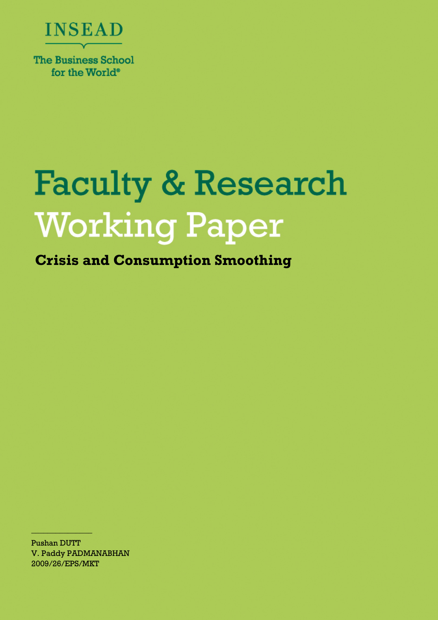

# **Faculty & Research Working Paper**

**Crisis and Consumption Smoothing**

Pushan DUTT V. Paddy PADMANABHAN 2009/26/EPS/MKT

 $\frac{1}{2}$  ,  $\frac{1}{2}$  ,  $\frac{1}{2}$  ,  $\frac{1}{2}$  ,  $\frac{1}{2}$  ,  $\frac{1}{2}$  ,  $\frac{1}{2}$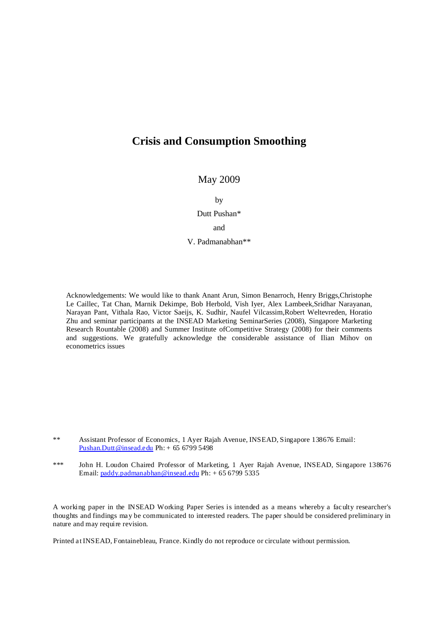## **Crisis and Consumption Smoothing**

May 2009

by

Dutt Pushan\*

and

V. Padmanabhan\*\*

Acknowledgements: We would like to thank Anant Arun, Simon Benarroch, Henry Briggs,Christophe Le Caillec, Tat Chan, Marnik Dekimpe, Bob Herbold, Vish Iyer, Alex Lambeek,Sridhar Narayanan, Narayan Pant, Vithala Rao, Victor Saeijs, K. Sudhir, Naufel Vilcassim,Robert Weltevreden, Horatio Zhu and seminar participants at the INSEAD Marketing SeminarSeries (2008), Singapore Marketing Research Rountable (2008) and Summer Institute ofCompetitive Strategy (2008) for their comments and suggestions. We gratefully acknowledge the considerable assistance of Ilian Mihov on econometrics issues

A working paper in the INSEAD Working Paper Series is intended as a means whereby a faculty researcher's thoughts and findings may be communicated to interested readers. The paper should be considered preliminary in nature and may require revision.

Printed at INSEAD, Fontainebleau, France. Kindly do not reproduce or circulate without permission.

<sup>\*\*</sup> Assistant Professor of Economics, 1 Ayer Rajah Avenue, INSEAD, Singapore 138676 Email: Pushan.Dutt@insead.edu Ph: + 65 6799 5498

<sup>\*\*\*</sup> John H. Loudon Chaired Professor of Marketing, 1 Ayer Rajah Avenue, INSEAD, Singapore 138676 Email: paddy.padmanabhan@insead.edu Ph: + 65 6799 5335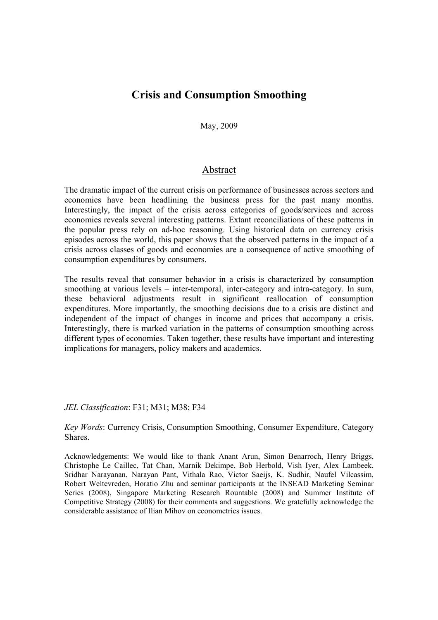## **Crisis and Consumption Smoothing**

May, 2009

#### Abstract

The dramatic impact of the current crisis on performance of businesses across sectors and economies have been headlining the business press for the past many months. Interestingly, the impact of the crisis across categories of goods/services and across economies reveals several interesting patterns. Extant reconciliations of these patterns in the popular press rely on ad-hoc reasoning. Using historical data on currency crisis episodes across the world, this paper shows that the observed patterns in the impact of a crisis across classes of goods and economies are a consequence of active smoothing of consumption expenditures by consumers.

The results reveal that consumer behavior in a crisis is characterized by consumption smoothing at various levels – inter-temporal, inter-category and intra-category. In sum, these behavioral adjustments result in significant reallocation of consumption expenditures. More importantly, the smoothing decisions due to a crisis are distinct and independent of the impact of changes in income and prices that accompany a crisis. Interestingly, there is marked variation in the patterns of consumption smoothing across different types of economies. Taken together, these results have important and interesting implications for managers, policy makers and academics.

#### *JEL Classification*: F31; M31; M38; F34

*Key Words*: Currency Crisis, Consumption Smoothing, Consumer Expenditure, Category Shares.

Acknowledgements: We would like to thank Anant Arun, Simon Benarroch, Henry Briggs, Christophe Le Caillec, Tat Chan, Marnik Dekimpe, Bob Herbold, Vish Iyer, Alex Lambeek, Sridhar Narayanan, Narayan Pant, Vithala Rao, Victor Saeijs, K. Sudhir, Naufel Vilcassim, Robert Weltevreden, Horatio Zhu and seminar participants at the INSEAD Marketing Seminar Series (2008), Singapore Marketing Research Rountable (2008) and Summer Institute of Competitive Strategy (2008) for their comments and suggestions. We gratefully acknowledge the considerable assistance of Ilian Mihov on econometrics issues.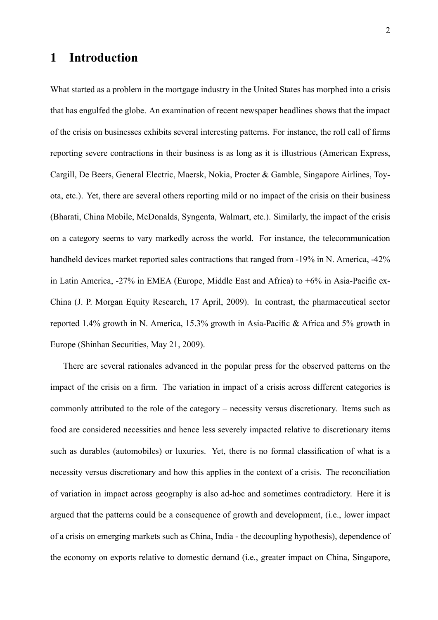# 1 Introduction

What started as a problem in the mortgage industry in the United States has morphed into a crisis that has engulfed the globe. An examination of recent newspaper headlines shows that the impact of the crisis on businesses exhibits several interesting patterns. For instance, the roll call of firms reporting severe contractions in their business is as long as it is illustrious (American Express, Cargill, De Beers, General Electric, Maersk, Nokia, Procter & Gamble, Singapore Airlines, Toyota, etc.). Yet, there are several others reporting mild or no impact of the crisis on their business (Bharati, China Mobile, McDonalds, Syngenta, Walmart, etc.). Similarly, the impact of the crisis on a category seems to vary markedly across the world. For instance, the telecommunication handheld devices market reported sales contractions that ranged from -19% in N. America, -42% in Latin America,  $-27\%$  in EMEA (Europe, Middle East and Africa) to  $+6\%$  in Asia-Pacific ex-China (J. P. Morgan Equity Research, 17 April, 2009). In contrast, the pharmaceutical sector reported 1.4% growth in N. America, 15.3% growth in Asia-Pacific & Africa and 5% growth in Europe (Shinhan Securities, May 21, 2009).

There are several rationales advanced in the popular press for the observed patterns on the impact of the crisis on a firm. The variation in impact of a crisis across different categories is commonly attributed to the role of the category – necessity versus discretionary. Items such as food are considered necessities and hence less severely impacted relative to discretionary items such as durables (automobiles) or luxuries. Yet, there is no formal classification of what is a necessity versus discretionary and how this applies in the context of a crisis. The reconciliation of variation in impact across geography is also ad-hoc and sometimes contradictory. Here it is argued that the patterns could be a consequence of growth and development, (i.e., lower impact of a crisis on emerging markets such as China, India - the decoupling hypothesis), dependence of the economy on exports relative to domestic demand (i.e., greater impact on China, Singapore,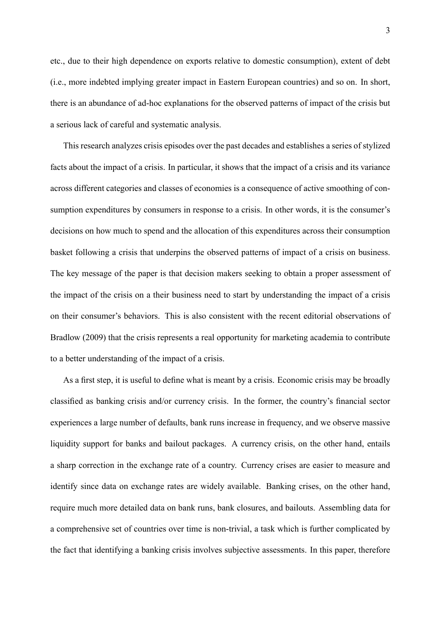etc., due to their high dependence on exports relative to domestic consumption), extent of debt (i.e., more indebted implying greater impact in Eastern European countries) and so on. In short, there is an abundance of ad-hoc explanations for the observed patterns of impact of the crisis but a serious lack of careful and systematic analysis.

This research analyzes crisis episodes over the past decades and establishes a series of stylized facts about the impact of a crisis. In particular, it shows that the impact of a crisis and its variance across different categories and classes of economies is a consequence of active smoothing of consumption expenditures by consumers in response to a crisis. In other words, it is the consumer's decisions on how much to spend and the allocation of this expenditures across their consumption basket following a crisis that underpins the observed patterns of impact of a crisis on business. The key message of the paper is that decision makers seeking to obtain a proper assessment of the impact of the crisis on a their business need to start by understanding the impact of a crisis on their consumer's behaviors. This is also consistent with the recent editorial observations of Bradlow (2009) that the crisis represents a real opportunity for marketing academia to contribute to a better understanding of the impact of a crisis.

As a first step, it is useful to define what is meant by a crisis. Economic crisis may be broadly classified as banking crisis and/or currency crisis. In the former, the country's financial sector experiences a large number of defaults, bank runs increase in frequency, and we observe massive liquidity support for banks and bailout packages. A currency crisis, on the other hand, entails a sharp correction in the exchange rate of a country. Currency crises are easier to measure and identify since data on exchange rates are widely available. Banking crises, on the other hand, require much more detailed data on bank runs, bank closures, and bailouts. Assembling data for a comprehensive set of countries over time is non-trivial, a task which is further complicated by the fact that identifying a banking crisis involves subjective assessments. In this paper, therefore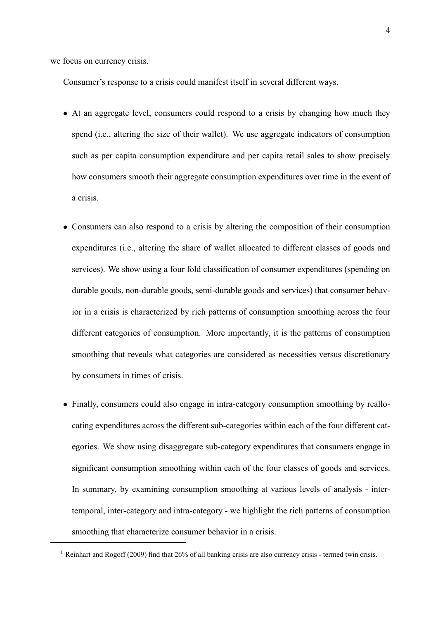we focus on currency crisis. $<sup>1</sup>$ </sup>

Consumer's response to a crisis could manifest itself in several different ways.

- At an aggregate level, consumers could respond to a crisis by changing how much they spend (i.e., altering the size of their wallet). We use aggregate indicators of consumption such as per capita consumption expenditure and per capita retail sales to show precisely how consumers smooth their aggregate consumption expenditures over time in the event of a crisis.
- Consumers can also respond to a crisis by altering the composition of their consumption expenditures (i.e., altering the share of wallet allocated to different classes of goods and services). We show using a four fold classification of consumer expenditures (spending on durable goods, non-durable goods, semi-durable goods and services) that consumer behavior in a crisis is characterized by rich patterns of consumption smoothing across the four different categories of consumption. More importantly, it is the patterns of consumption smoothing that reveals what categories are considered as necessities versus discretionary by consumers in times of crisis.
- Finally, consumers could also engage in intra-category consumption smoothing by reallocating expenditures across the different sub-categories within each of the four different categories. We show using disaggregate sub-category expenditures that consumers engage in significant consumption smoothing within each of the four classes of goods and services. In summary, by examining consumption smoothing at various levels of analysis - intertemporal, inter-category and intra-category - we highlight the rich patterns of consumption smoothing that characterize consumer behavior in a crisis.

<sup>&</sup>lt;sup>1</sup> Reinhart and Rogoff (2009) find that 26% of all banking crisis are also currency crisis - termed twin crisis.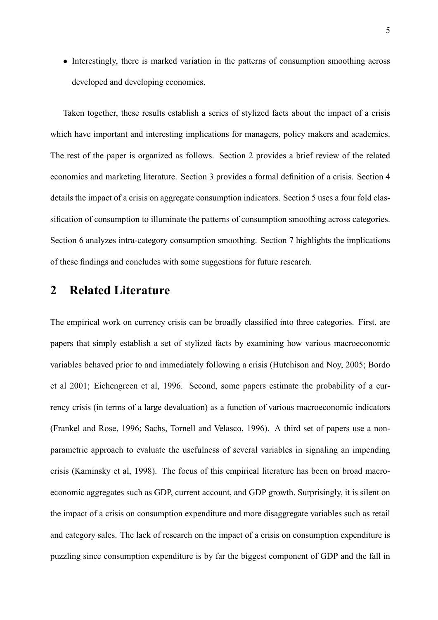• Interestingly, there is marked variation in the patterns of consumption smoothing across developed and developing economies.

Taken together, these results establish a series of stylized facts about the impact of a crisis which have important and interesting implications for managers, policy makers and academics. The rest of the paper is organized as follows. Section 2 provides a brief review of the related economics and marketing literature. Section 3 provides a formal definition of a crisis. Section 4 details the impact of a crisis on aggregate consumption indicators. Section 5 uses a four fold classification of consumption to illuminate the patterns of consumption smoothing across categories. Section 6 analyzes intra-category consumption smoothing. Section 7 highlights the implications of these findings and concludes with some suggestions for future research.

## 2 Related Literature

The empirical work on currency crisis can be broadly classified into three categories. First, are papers that simply establish a set of stylized facts by examining how various macroeconomic variables behaved prior to and immediately following a crisis (Hutchison and Noy, 2005; Bordo et al 2001; Eichengreen et al, 1996. Second, some papers estimate the probability of a currency crisis (in terms of a large devaluation) as a function of various macroeconomic indicators (Frankel and Rose, 1996; Sachs, Tornell and Velasco, 1996). A third set of papers use a nonparametric approach to evaluate the usefulness of several variables in signaling an impending crisis (Kaminsky et al, 1998). The focus of this empirical literature has been on broad macroeconomic aggregates such as GDP, current account, and GDP growth. Surprisingly, it is silent on the impact of a crisis on consumption expenditure and more disaggregate variables such as retail and category sales. The lack of research on the impact of a crisis on consumption expenditure is puzzling since consumption expenditure is by far the biggest component of GDP and the fall in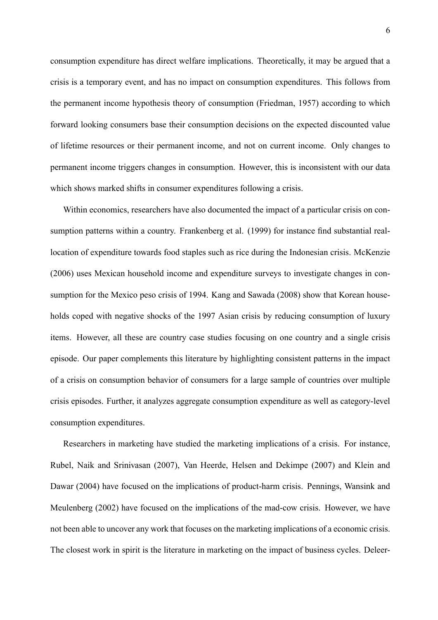consumption expenditure has direct welfare implications. Theoretically, it may be argued that a crisis is a temporary event, and has no impact on consumption expenditures. This follows from the permanent income hypothesis theory of consumption (Friedman, 1957) according to which forward looking consumers base their consumption decisions on the expected discounted value of lifetime resources or their permanent income, and not on current income. Only changes to permanent income triggers changes in consumption. However, this is inconsistent with our data which shows marked shifts in consumer expenditures following a crisis.

Within economics, researchers have also documented the impact of a particular crisis on consumption patterns within a country. Frankenberg et al. (1999) for instance find substantial reallocation of expenditure towards food staples such as rice during the Indonesian crisis. McKenzie (2006) uses Mexican household income and expenditure surveys to investigate changes in consumption for the Mexico peso crisis of 1994. Kang and Sawada (2008) show that Korean households coped with negative shocks of the 1997 Asian crisis by reducing consumption of luxury items. However, all these are country case studies focusing on one country and a single crisis episode. Our paper complements this literature by highlighting consistent patterns in the impact of a crisis on consumption behavior of consumers for a large sample of countries over multiple crisis episodes. Further, it analyzes aggregate consumption expenditure as well as category-level consumption expenditures.

Researchers in marketing have studied the marketing implications of a crisis. For instance, Rubel, Naik and Srinivasan (2007), Van Heerde, Helsen and Dekimpe (2007) and Klein and Dawar (2004) have focused on the implications of product-harm crisis. Pennings, Wansink and Meulenberg (2002) have focused on the implications of the mad-cow crisis. However, we have not been able to uncover any work that focuses on the marketing implications of a economic crisis. The closest work in spirit is the literature in marketing on the impact of business cycles. Deleer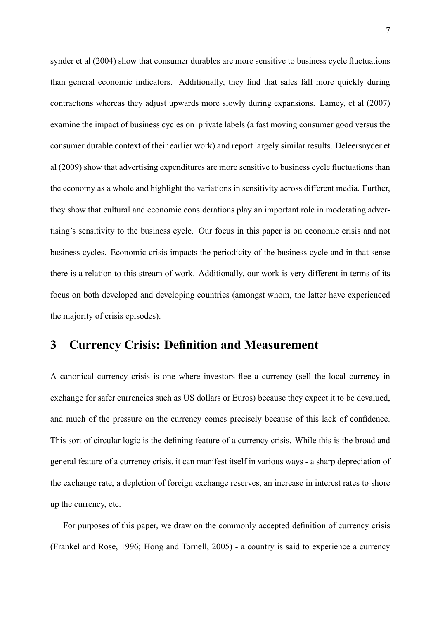synder et al (2004) show that consumer durables are more sensitive to business cycle fluctuations than general economic indicators. Additionally, they find that sales fall more quickly during contractions whereas they adjust upwards more slowly during expansions. Lamey, et al (2007) examine the impact of business cycles on private labels (a fast moving consumer good versus the consumer durable context of their earlier work) and report largely similar results. Deleersnyder et al (2009) show that advertising expenditures are more sensitive to business cycle fluctuations than the economy as a whole and highlight the variations in sensitivity across different media. Further, they show that cultural and economic considerations play an important role in moderating advertising's sensitivity to the business cycle. Our focus in this paper is on economic crisis and not business cycles. Economic crisis impacts the periodicity of the business cycle and in that sense there is a relation to this stream of work. Additionally, our work is very different in terms of its focus on both developed and developing countries (amongst whom, the latter have experienced the majority of crisis episodes).

# 3 Currency Crisis: Definition and Measurement

A canonical currency crisis is one where investors flee a currency (sell the local currency in exchange for safer currencies such as US dollars or Euros) because they expect it to be devalued, and much of the pressure on the currency comes precisely because of this lack of confidence. This sort of circular logic is the defining feature of a currency crisis. While this is the broad and general feature of a currency crisis, it can manifest itself in various ways - a sharp depreciation of the exchange rate, a depletion of foreign exchange reserves, an increase in interest rates to shore up the currency, etc.

For purposes of this paper, we draw on the commonly accepted definition of currency crisis (Frankel and Rose, 1996; Hong and Tornell, 2005) - a country is said to experience a currency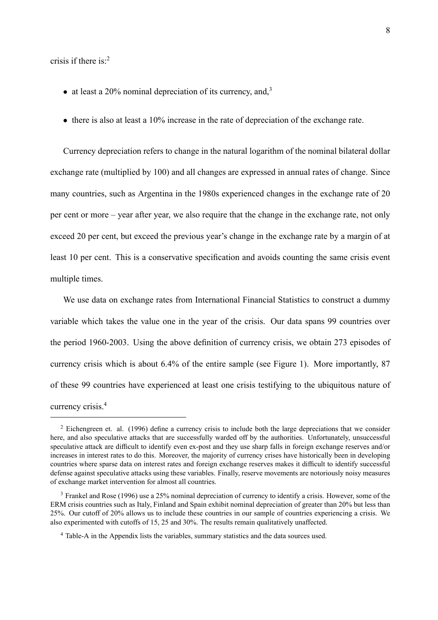crisis if there is: $2$ 

- at least a  $20\%$  nominal depreciation of its currency, and,<sup>3</sup>
- $\bullet$  there is also at least a 10% increase in the rate of depreciation of the exchange rate.

Currency depreciation refers to change in the natural logarithm of the nominal bilateral dollar exchange rate (multiplied by 100) and all changes are expressed in annual rates of change. Since many countries, such as Argentina in the 1980s experienced changes in the exchange rate of 20 per cent or more – year after year, we also require that the change in the exchange rate, not only exceed 20 per cent, but exceed the previous year's change in the exchange rate by a margin of at least 10 per cent. This is a conservative specification and avoids counting the same crisis event multiple times.

We use data on exchange rates from International Financial Statistics to construct a dummy variable which takes the value one in the year of the crisis. Our data spans 99 countries over the period 1960-2003. Using the above definition of currency crisis, we obtain 273 episodes of currency crisis which is about 6.4% of the entire sample (see Figure 1). More importantly, 87 of these 99 countries have experienced at least one crisis testifying to the ubiquitous nature of currency crisis.<sup>4</sup>

 $2$  Eichengreen et. al. (1996) define a currency crisis to include both the large depreciations that we consider here, and also speculative attacks that are successfully warded off by the authorities. Unfortunately, unsuccessful speculative attack are difficult to identify even ex-post and they use sharp falls in foreign exchange reserves and/or increases in interest rates to do this. Moreover, the majority of currency crises have historically been in developing countries where sparse data on interest rates and foreign exchange reserves makes it difficult to identify successful defense against speculative attacks using these variables. Finally, reserve movements are notoriously noisy measures of exchange market intervention for almost all countries.

<sup>3</sup> Frankel and Rose (1996) use a 25% nominal depreciation of currency to identify a crisis. However, some of the ERM crisis countries such as Italy, Finland and Spain exhibit nominal depreciation of greater than 20% but less than 25%. Our cutoff of 20% allows us to include these countries in our sample of countries experiencing a crisis. We also experimented with cutoffs of 15, 25 and 30%. The results remain qualitatively unaffected.

<sup>4</sup> Table-A in the Appendix lists the variables, summary statistics and the data sources used.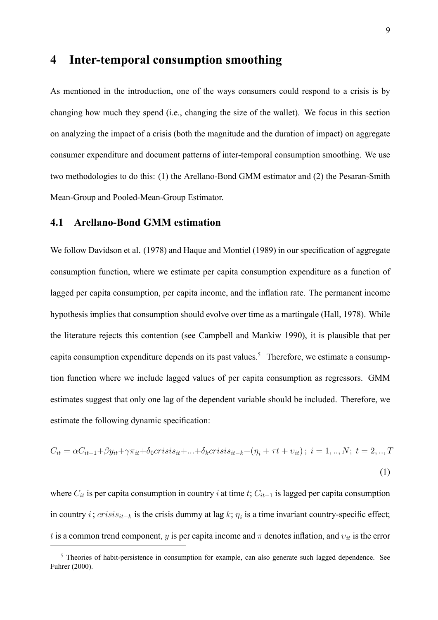## 4 Inter-temporal consumption smoothing

As mentioned in the introduction, one of the ways consumers could respond to a crisis is by changing how much they spend (i.e., changing the size of the wallet). We focus in this section on analyzing the impact of a crisis (both the magnitude and the duration of impact) on aggregate consumer expenditure and document patterns of inter-temporal consumption smoothing. We use two methodologies to do this: (1) the Arellano-Bond GMM estimator and (2) the Pesaran-Smith Mean-Group and Pooled-Mean-Group Estimator.

### 4.1 Arellano-Bond GMM estimation

We follow Davidson et al. (1978) and Haque and Montiel (1989) in our specification of aggregate consumption function, where we estimate per capita consumption expenditure as a function of lagged per capita consumption, per capita income, and the inflation rate. The permanent income hypothesis implies that consumption should evolve over time as a martingale (Hall, 1978). While the literature rejects this contention (see Campbell and Mankiw 1990), it is plausible that per capita consumption expenditure depends on its past values.<sup>5</sup> Therefore, we estimate a consumption function where we include lagged values of per capita consumption as regressors. GMM estimates suggest that only one lag of the dependent variable should be included. Therefore, we estimate the following dynamic specification:

$$
C_{it} = \alpha C_{it-1} + \beta y_{it} + \gamma \pi_{it} + \delta_0 crisis_{it} + \dots + \delta_k crisis_{it-k} + (\eta_i + \tau t + v_{it}); \ i = 1, ..., N; \ t = 2, ..., T
$$
\n(1)

where  $C_{it}$  is per capita consumption in country *i* at time *t*;  $C_{it-1}$  is lagged per capita consumption in country i;  $crisis_{it-k}$  is the crisis dummy at lag k;  $\eta_i$  is a time invariant country-specific effect; t is a common trend component, y is per capita income and  $\pi$  denotes inflation, and  $v_{it}$  is the error

<sup>&</sup>lt;sup>5</sup> Theories of habit-persistence in consumption for example, can also generate such lagged dependence. See Fuhrer (2000).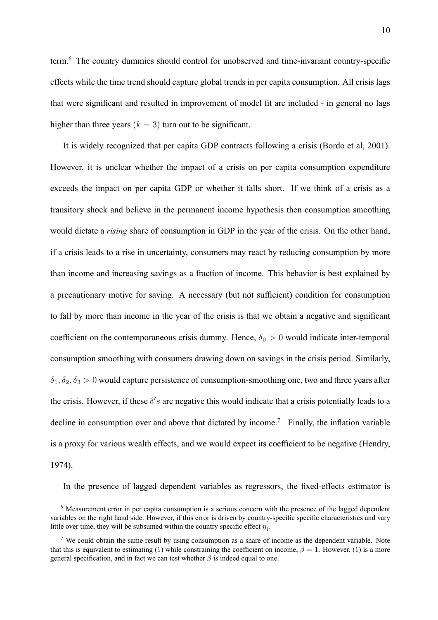term. $<sup>6</sup>$  The country dummies should control for unobserved and time-invariant country-specific</sup> effects while the time trend should capture global trends in per capita consumption. All crisis lags that were significant and resulted in improvement of model fit are included - in general no lags higher than three years  $(k = 3)$  turn out to be significant.

It is widely recognized that per capita GDP contracts following a crisis (Bordo et al, 2001). However, it is unclear whether the impact of a crisis on per capita consumption expenditure exceeds the impact on per capita GDP or whether it falls short. If we think of a crisis as a transitory shock and believe in the permanent income hypothesis then consumption smoothing would dictate a *rising* share of consumption in GDP in the year of the crisis. On the other hand, if a crisis leads to a rise in uncertainty, consumers may react by reducing consumption by more than income and increasing savings as a fraction of income. This behavior is best explained by a precautionary motive for saving. A necessary (but not sufficient) condition for consumption to fall by more than income in the year of the crisis is that we obtain a negative and significant coefficient on the contemporaneous crisis dummy. Hence,  $\delta_0 > 0$  would indicate inter-temporal consumption smoothing with consumers drawing down on savings in the crisis period. Similarly,  $\delta_1, \delta_2, \delta_3 > 0$  would capture persistence of consumption-smoothing one, two and three years after the crisis. However, if these  $\delta's$  are negative this would indicate that a crisis potentially leads to a decline in consumption over and above that dictated by income.<sup>7</sup> Finally, the inflation variable is a proxy for various wealth effects, and we would expect its coefficient to be negative (Hendry, 1974).

In the presence of lagged dependent variables as regressors, the fixed-effects estimator is

<sup>6</sup> Measurement error in per capita consumption is a serious concern with the presence of the lagged dependent variables on the right hand side. However, if this error is driven by country-specific specific characteristics and vary little over time, they will be subsumed within the country specific effect  $\eta_i$ .

<sup>&</sup>lt;sup>7</sup> We could obtain the same result by using consumption as a share of income as the dependent variable. Note that this is equivalent to estimating (1) while constraining the coefficient on income,  $\beta = 1$ . However, (1) is a more general specification, and in fact we can test whether  $\beta$  is indeed equal to one.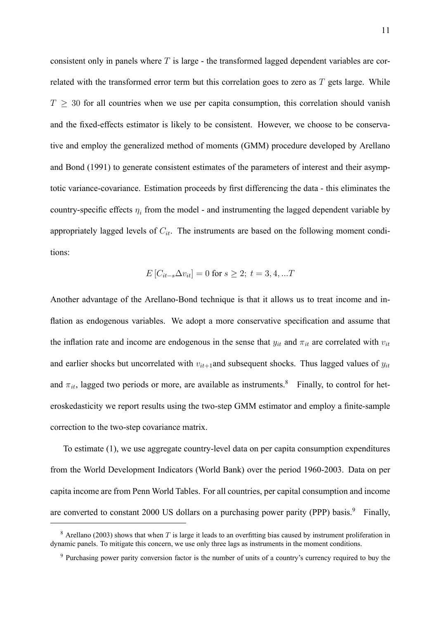consistent only in panels where  $T$  is large - the transformed lagged dependent variables are correlated with the transformed error term but this correlation goes to zero as  $T$  gets large. While  $T \geq 30$  for all countries when we use per capita consumption, this correlation should vanish and the fixed-effects estimator is likely to be consistent. However, we choose to be conservative and employ the generalized method of moments (GMM) procedure developed by Arellano and Bond (1991) to generate consistent estimates of the parameters of interest and their asymptotic variance-covariance. Estimation proceeds by first differencing the data - this eliminates the country-specific effects  $\eta_i$  from the model - and instrumenting the lagged dependent variable by appropriately lagged levels of  $C_{it}$ . The instruments are based on the following moment conditions:

$$
E[C_{it-s}\Delta v_{it}] = 0 \text{ for } s \ge 2; \ t = 3, 4, ...T
$$

Another advantage of the Arellano-Bond technique is that it allows us to treat income and in flation as endogenous variables. We adopt a more conservative specification and assume that the inflation rate and income are endogenous in the sense that  $y_{it}$  and  $\pi_{it}$  are correlated with  $v_{it}$ and earlier shocks but uncorrelated with  $v_{it+1}$  and subsequent shocks. Thus lagged values of  $y_{it}$ and  $\pi_{it}$ , lagged two periods or more, are available as instruments.<sup>8</sup> Finally, to control for heteroskedasticity we report results using the two-step GMM estimator and employ a finite-sample correction to the two-step covariance matrix.

To estimate (1), we use aggregate country-level data on per capita consumption expenditures from the World Development Indicators (World Bank) over the period 1960-2003. Data on per capita income are from Penn World Tables. For all countries, per capital consumption and income are converted to constant 2000 US dollars on a purchasing power parity (PPP) basis.<sup>9</sup> Finally,

 $8$  Arellano (2003) shows that when T is large it leads to an overfitting bias caused by instrument proliferation in dynamic panels. To mitigate this concern, we use only three lags as instruments in the moment conditions.

<sup>&</sup>lt;sup>9</sup> Purchasing power parity conversion factor is the number of units of a country's currency required to buy the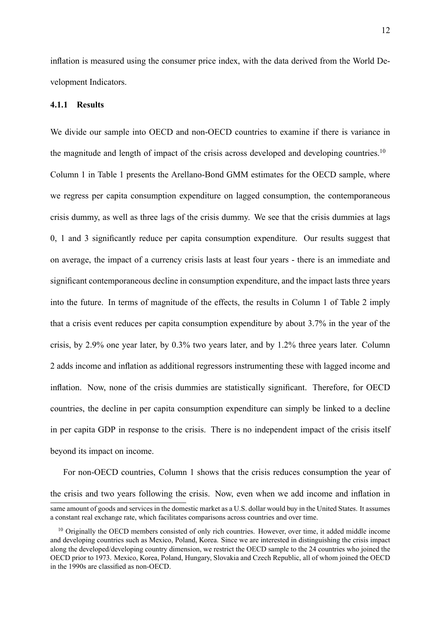inflation is measured using the consumer price index, with the data derived from the World Development Indicators.

#### 4.1.1 Results

We divide our sample into OECD and non-OECD countries to examine if there is variance in the magnitude and length of impact of the crisis across developed and developing countries.<sup>10</sup> Column 1 in Table 1 presents the Arellano-Bond GMM estimates for the OECD sample, where we regress per capita consumption expenditure on lagged consumption, the contemporaneous crisis dummy, as well as three lags of the crisis dummy. We see that the crisis dummies at lags 0, 1 and 3 significantly reduce per capita consumption expenditure. Our results suggest that on average, the impact of a currency crisis lasts at least four years - there is an immediate and significant contemporaneous decline in consumption expenditure, and the impact lasts three years into the future. In terms of magnitude of the effects, the results in Column 1 of Table 2 imply that a crisis event reduces per capita consumption expenditure by about 3.7% in the year of the crisis, by 2.9% one year later, by 0.3% two years later, and by 1.2% three years later. Column 2 adds income and inflation as additional regressors instrumenting these with lagged income and inflation. Now, none of the crisis dummies are statistically significant. Therefore, for OECD countries, the decline in per capita consumption expenditure can simply be linked to a decline in per capita GDP in response to the crisis. There is no independent impact of the crisis itself beyond its impact on income.

For non-OECD countries, Column 1 shows that the crisis reduces consumption the year of the crisis and two years following the crisis. Now, even when we add income and inflation in

same amount of goods and services in the domestic market as a U.S. dollar would buy in the United States. It assumes a constant real exchange rate, which facilitates comparisons across countries and over time.

<sup>&</sup>lt;sup>10</sup> Originally the OECD members consisted of only rich countries. However, over time, it added middle income and developing countries such as Mexico, Poland, Korea. Since we are interested in distinguishing the crisis impact along the developed/developing country dimension, we restrict the OECD sample to the 24 countries who joined the OECD prior to 1973. Mexico, Korea, Poland, Hungary, Slovakia and Czech Republic, all of whom joined the OECD in the 1990s are classified as non-OECD.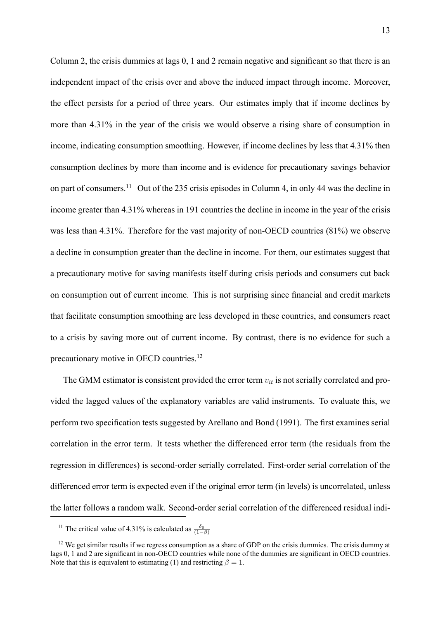Column 2, the crisis dummies at lags  $0$ , 1 and 2 remain negative and significant so that there is an independent impact of the crisis over and above the induced impact through income. Moreover, the effect persists for a period of three years. Our estimates imply that if income declines by more than 4.31% in the year of the crisis we would observe a rising share of consumption in income, indicating consumption smoothing. However, if income declines by less that 4.31% then consumption declines by more than income and is evidence for precautionary savings behavior on part of consumers.<sup>11</sup> Out of the 235 crisis episodes in Column 4, in only 44 was the decline in income greater than 4.31% whereas in 191 countries the decline in income in the year of the crisis was less than 4.31%. Therefore for the vast majority of non-OECD countries (81%) we observe a decline in consumption greater than the decline in income. For them, our estimates suggest that a precautionary motive for saving manifests itself during crisis periods and consumers cut back on consumption out of current income. This is not surprising since financial and credit markets that facilitate consumption smoothing are less developed in these countries, and consumers react to a crisis by saving more out of current income. By contrast, there is no evidence for such a precautionary motive in OECD countries.<sup>12</sup>

The GMM estimator is consistent provided the error term  $v_{it}$  is not serially correlated and provided the lagged values of the explanatory variables are valid instruments. To evaluate this, we perform two specification tests suggested by Arellano and Bond (1991). The first examines serial correlation in the error term. It tests whether the differenced error term (the residuals from the regression in differences) is second-order serially correlated. First-order serial correlation of the differenced error term is expected even if the original error term (in levels) is uncorrelated, unless the latter follows a random walk. Second-order serial correlation of the differenced residual indi-

<sup>&</sup>lt;sup>11</sup> The critical value of 4.31% is calculated as  $\frac{\delta_0}{(1-\beta)}$ 

 $12$  We get similar results if we regress consumption as a share of GDP on the crisis dummies. The crisis dummy at lags 0, 1 and 2 are significant in non-OECD countries while none of the dummies are significant in OECD countries. Note that this is equivalent to estimating (1) and restricting  $\beta = 1$ .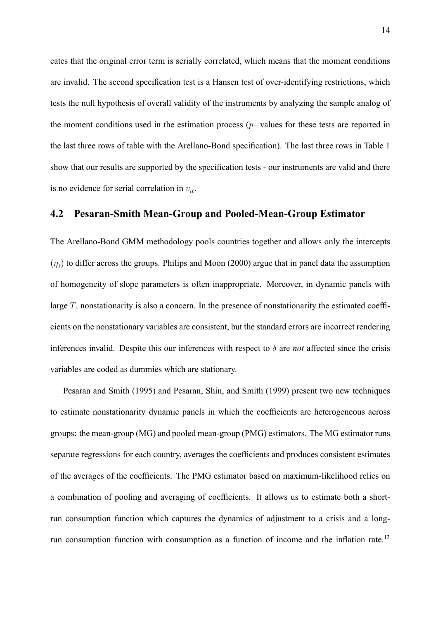cates that the original error term is serially correlated, which means that the moment conditions are invalid. The second specification test is a Hansen test of over-identifying restrictions, which tests the null hypothesis of overall validity of the instruments by analyzing the sample analog of the moment conditions used in the estimation process ( $p$ -values for these tests are reported in the last three rows of table with the Arellano-Bond specification). The last three rows in Table 1 show that our results are supported by the specification tests - our instruments are valid and there is no evidence for serial correlation in  $v_{it}$ .

#### 4.2 Pesaran-Smith Mean-Group and Pooled-Mean-Group Estimator

The Arellano-Bond GMM methodology pools countries together and allows only the intercepts  $(\eta_i)$  to differ across the groups. Philips and Moon (2000) argue that in panel data the assumption of homogeneity of slope parameters is often inappropriate. Moreover, in dynamic panels with large  $T$ , nonstationarity is also a concern. In the presence of nonstationarity the estimated coefficients on the nonstationary variables are consistent, but the standard errors are incorrect rendering inferences invalid. Despite this our inferences with respect to  $\delta$  are *not* affected since the crisis variables are coded as dummies which are stationary.

Pesaran and Smith (1995) and Pesaran, Shin, and Smith (1999) present two new techniques to estimate nonstationarity dynamic panels in which the coefficients are heterogeneous across groups: the mean-group (MG) and pooled mean-group (PMG) estimators. The MG estimator runs separate regressions for each country, averages the coefficients and produces consistent estimates of the averages of the coefficients. The PMG estimator based on maximum-likelihood relies on a combination of pooling and averaging of coefficients. It allows us to estimate both a shortrun consumption function which captures the dynamics of adjustment to a crisis and a longrun consumption function with consumption as a function of income and the inflation rate.<sup>13</sup>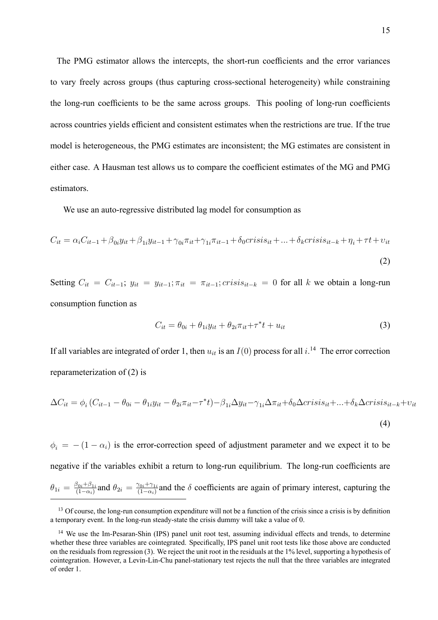The PMG estimator allows the intercepts, the short-run coefficients and the error variances to vary freely across groups (thus capturing cross-sectional heterogeneity) while constraining the long-run coefficients to be the same across groups. This pooling of long-run coefficients across countries yields efficient and consistent estimates when the restrictions are true. If the true model is heterogeneous, the PMG estimates are inconsistent; the MG estimates are consistent in either case. A Hausman test allows us to compare the coefficient estimates of the MG and PMG estimators.

We use an auto-regressive distributed lag model for consumption as

$$
C_{it} = \alpha_i C_{it-1} + \beta_{0i} y_{it} + \beta_{1i} y_{it-1} + \gamma_{0i} \pi_{it} + \gamma_{1i} \pi_{it-1} + \delta_0 crisis_{it} + \dots + \delta_k crisis_{it-k} + \eta_i + \tau t + \nu_{it}
$$
\n
$$
\tag{2}
$$

Setting  $C_{it} = C_{it-1}$ ;  $y_{it} = y_{it-1}$ ;  $\pi_{it} = \pi_{it-1}$ ; crisis<sub>it-k</sub> = 0 for all k we obtain a long-run consumption function as

$$
C_{it} = \theta_{0i} + \theta_{1i} y_{it} + \theta_{2i} \pi_{it} + \tau^* t + u_{it}
$$
\n
$$
\tag{3}
$$

If all variables are integrated of order 1, then  $u_{it}$  is an  $I(0)$  process for all  $i^{14}$ . The error correction reparameterization of (2) is

$$
\Delta C_{it} = \phi_i \left( C_{it-1} - \theta_{0i} - \theta_{1i} y_{it} - \theta_{2i} \pi_{it} - \tau^* t \right) - \beta_{1i} \Delta y_{it} - \gamma_{1i} \Delta \pi_{it} + \delta_0 \Delta crisis_{it} + \dots + \delta_k \Delta crisis_{it-k} + v_{it}
$$
\n(4)

 $\phi_i = - (1 - \alpha_i)$  is the error-correction speed of adjustment parameter and we expect it to be negative if the variables exhibit a return to long-run equilibrium. The long-run coefficients are  $\theta_{1i} = \frac{\beta_{0i} + \beta_{1i}}{(1-\alpha_i)}$  $\frac{\beta_{0i}+\beta_{1i}}{(1-\alpha_i)}$  and  $\theta_{2i} = \frac{\gamma_{0i}+\gamma_{1i}}{(1-\alpha_i)}$  $\frac{\gamma_{0i} + \gamma_{1i}}{(1-\alpha_i)}$  and the  $\delta$  coefficients are again of primary interest, capturing the

 $<sup>13</sup>$  Of course, the long-run consumption expenditure will not be a function of the crisis since a crisis is by definition</sup> a temporary event. In the long-run steady-state the crisis dummy will take a value of 0.

<sup>&</sup>lt;sup>14</sup> We use the Im-Pesaran-Shin (IPS) panel unit root test, assuming individual effects and trends, to determine whether these three variables are cointegrated. Specifically, IPS panel unit root tests like those above are conducted on the residuals from regression (3). We reject the unit root in the residuals at the 1% level, supporting a hypothesis of cointegration. However, a Levin-Lin-Chu panel-stationary test rejects the null that the three variables are integrated of order 1.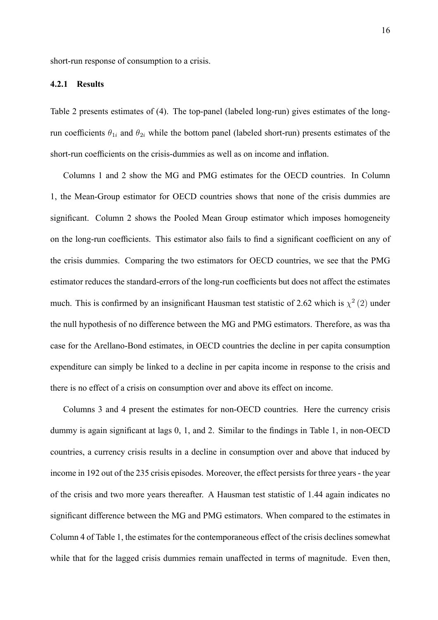short-run response of consumption to a crisis.

#### 4.2.1 Results

Table 2 presents estimates of (4). The top-panel (labeled long-run) gives estimates of the longrun coefficients  $\theta_{1i}$  and  $\theta_{2i}$  while the bottom panel (labeled short-run) presents estimates of the short-run coefficients on the crisis-dummies as well as on income and inflation.

Columns 1 and 2 show the MG and PMG estimates for the OECD countries. In Column 1, the Mean-Group estimator for OECD countries shows that none of the crisis dummies are significant. Column 2 shows the Pooled Mean Group estimator which imposes homogeneity on the long-run coefficients. This estimator also fails to find a significant coefficient on any of the crisis dummies. Comparing the two estimators for OECD countries, we see that the PMG estimator reduces the standard-errors of the long-run coefficients but does not affect the estimates much. This is confirmed by an insignificant Hausman test statistic of 2.62 which is  $\chi^2(2)$  under the null hypothesis of no difference between the MG and PMG estimators. Therefore, as was tha case for the Arellano-Bond estimates, in OECD countries the decline in per capita consumption expenditure can simply be linked to a decline in per capita income in response to the crisis and there is no effect of a crisis on consumption over and above its effect on income.

Columns 3 and 4 present the estimates for non-OECD countries. Here the currency crisis dummy is again significant at lags 0, 1, and 2. Similar to the findings in Table 1, in non-OECD countries, a currency crisis results in a decline in consumption over and above that induced by income in 192 out of the 235 crisis episodes. Moreover, the effect persists for three years - the year of the crisis and two more years thereafter. A Hausman test statistic of 1.44 again indicates no significant difference between the MG and PMG estimators. When compared to the estimates in Column 4 of Table 1, the estimates for the contemporaneous effect of the crisis declines somewhat while that for the lagged crisis dummies remain unaffected in terms of magnitude. Even then,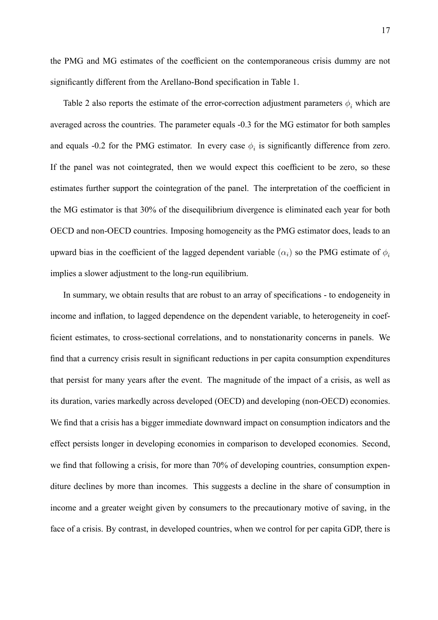the PMG and MG estimates of the coefficient on the contemporaneous crisis dummy are not significantly different from the Arellano-Bond specification in Table 1.

Table 2 also reports the estimate of the error-correction adjustment parameters  $\phi_i$  which are averaged across the countries. The parameter equals -0.3 for the MG estimator for both samples and equals -0.2 for the PMG estimator. In every case  $\phi_i$  is significantly difference from zero. If the panel was not cointegrated, then we would expect this coefficient to be zero, so these estimates further support the cointegration of the panel. The interpretation of the coefficient in the MG estimator is that 30% of the disequilibrium divergence is eliminated each year for both OECD and non-OECD countries. Imposing homogeneity as the PMG estimator does, leads to an upward bias in the coefficient of the lagged dependent variable  $(\alpha_i)$  so the PMG estimate of  $\phi_i$ implies a slower adjustment to the long-run equilibrium.

In summary, we obtain results that are robust to an array of specifications - to endogeneity in income and inflation, to lagged dependence on the dependent variable, to heterogeneity in coefficient estimates, to cross-sectional correlations, and to nonstationarity concerns in panels. We find that a currency crisis result in significant reductions in per capita consumption expenditures that persist for many years after the event. The magnitude of the impact of a crisis, as well as its duration, varies markedly across developed (OECD) and developing (non-OECD) economies. We find that a crisis has a bigger immediate downward impact on consumption indicators and the effect persists longer in developing economies in comparison to developed economies. Second, we find that following a crisis, for more than 70% of developing countries, consumption expenditure declines by more than incomes. This suggests a decline in the share of consumption in income and a greater weight given by consumers to the precautionary motive of saving, in the face of a crisis. By contrast, in developed countries, when we control for per capita GDP, there is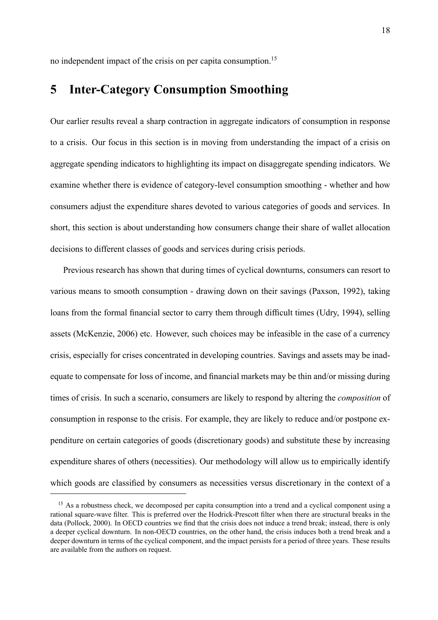no independent impact of the crisis on per capita consumption.<sup>15</sup>

# 5 Inter-Category Consumption Smoothing

Our earlier results reveal a sharp contraction in aggregate indicators of consumption in response to a crisis. Our focus in this section is in moving from understanding the impact of a crisis on aggregate spending indicators to highlighting its impact on disaggregate spending indicators. We examine whether there is evidence of category-level consumption smoothing - whether and how consumers adjust the expenditure shares devoted to various categories of goods and services. In short, this section is about understanding how consumers change their share of wallet allocation decisions to different classes of goods and services during crisis periods.

Previous research has shown that during times of cyclical downturns, consumers can resort to various means to smooth consumption - drawing down on their savings (Paxson, 1992), taking loans from the formal financial sector to carry them through difficult times (Udry, 1994), selling assets (McKenzie, 2006) etc. However, such choices may be infeasible in the case of a currency crisis, especially for crises concentrated in developing countries. Savings and assets may be inadequate to compensate for loss of income, and financial markets may be thin and/or missing during times of crisis. In such a scenario, consumers are likely to respond by altering the *composition* of consumption in response to the crisis. For example, they are likely to reduce and/or postpone expenditure on certain categories of goods (discretionary goods) and substitute these by increasing expenditure shares of others (necessities). Our methodology will allow us to empirically identify which goods are classified by consumers as necessities versus discretionary in the context of a

<sup>&</sup>lt;sup>15</sup> As a robustness check, we decomposed per capita consumption into a trend and a cyclical component using a rational square-wave filter. This is preferred over the Hodrick-Prescott filter when there are structural breaks in the data (Pollock, 2000). In OECD countries we find that the crisis does not induce a trend break; instead, there is only a deeper cyclical downturn. In non-OECD countries, on the other hand, the crisis induces both a trend break and a deeper downturn in terms of the cyclical component, and the impact persists for a period of three years. These results are available from the authors on request.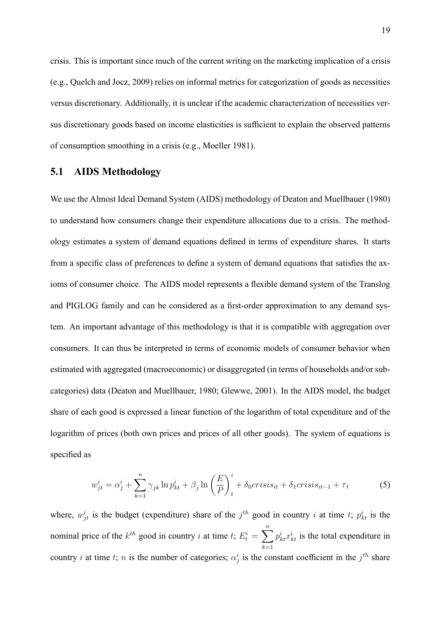crisis. This is important since much of the current writing on the marketing implication of a crisis (e.g., Quelch and Jocz, 2009) relies on informal metrics for categorization of goods as necessities versus discretionary. Additionally, it is unclear if the academic characterization of necessities versus discretionary goods based on income elasticities is sufficient to explain the observed patterns of consumption smoothing in a crisis (e.g., Moeller 1981).

### 5.1 AIDS Methodology

We use the Almost Ideal Demand System (AIDS) methodology of Deaton and Muellbauer (1980) to understand how consumers change their expenditure allocations due to a crisis. The methodology estimates a system of demand equations defined in terms of expenditure shares. It starts from a specific class of preferences to define a system of demand equations that satisfies the axioms of consumer choice. The AIDS model represents a flexible demand system of the Translog and PIGLOG family and can be considered as a first-order approximation to any demand system. An important advantage of this methodology is that it is compatible with aggregation over consumers. It can thus be interpreted in terms of economic models of consumer behavior when estimated with aggregated (macroeconomic) or disaggregated (in terms of households and/or subcategories) data (Deaton and Muellbauer, 1980; Glewwe, 2001). In the AIDS model, the budget share of each good is expressed a linear function of the logarithm of total expenditure and of the logarithm of prices (both own prices and prices of all other goods). The system of equations is specified as

$$
w_{jt}^i = \alpha_j^i + \sum_{k=1}^n \gamma_{jk} \ln p_{kt}^i + \beta_j \ln \left(\frac{E}{P}\right)_t^i + \delta_0 crisis_{it} + \delta_1 crisis_{it-1} + \tau_t
$$
 (5)

where,  $w_{jt}^{i}$  is the budget (expenditure) share of the  $j^{th}$  good in country i at time t;  $p_{kt}^{i}$  is the nominal price of the  $k^{th}$  good in country *i* at time *t*;  $E_t^i = \sum_{i=1}^{n}$  $k=1$  $p_{kt}^{i} x_{kt}^{i}$  is the total expenditure in country *i* at time *t*; *n* is the number of categories;  $\alpha_j^i$  is the constant coefficient in the  $j^{th}$  share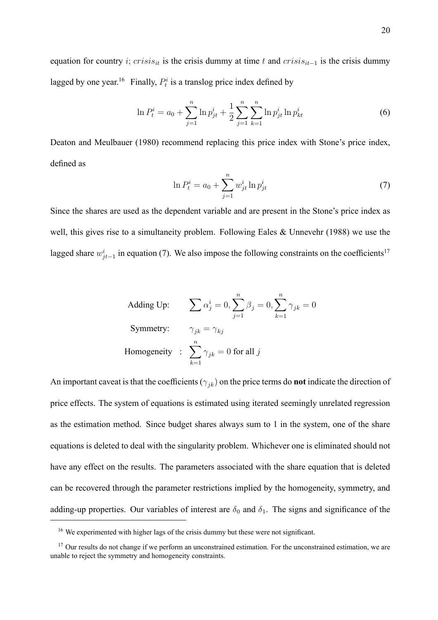equation for country i; crisis<sub>it</sub> is the crisis dummy at time t and crisis<sub>it-1</sub> is the crisis dummy lagged by one year.<sup>16</sup> Finally,  $P_t^i$  is a translog price index defined by

$$
\ln P_t^i = a_0 + \sum_{j=1}^n \ln p_{jt}^i + \frac{1}{2} \sum_{j=1}^n \sum_{k=1}^n \ln p_{jt}^i \ln p_{kt}^i \tag{6}
$$

Deaton and Meulbauer (1980) recommend replacing this price index with Stone's price index, defined as

$$
\ln P_t^i = a_0 + \sum_{j=1}^n w_{jt}^i \ln p_{jt}^i
$$
 (7)

Since the shares are used as the dependent variable and are present in the Stone's price index as well, this gives rise to a simultaneity problem. Following Eales & Unnevehr (1988) we use the lagged share  $w_{jt-1}^i$  in equation (7). We also impose the following constraints on the coefficients<sup>17</sup>

Adding Up: 
$$
\sum \alpha_j^i = 0, \sum_{j=1}^n \beta_j = 0, \sum_{k=1}^n \gamma_{jk} = 0
$$
  
Symmetry: 
$$
\gamma_{jk} = \gamma_{kj}
$$
  
Homogeneity: 
$$
\sum_{k=1}^n \gamma_{jk} = 0 \text{ for all } j
$$

An important caveat is that the coefficients ( $\gamma_{jk}$ ) on the price terms do **not** indicate the direction of price effects. The system of equations is estimated using iterated seemingly unrelated regression as the estimation method. Since budget shares always sum to 1 in the system, one of the share equations is deleted to deal with the singularity problem. Whichever one is eliminated should not have any effect on the results. The parameters associated with the share equation that is deleted can be recovered through the parameter restrictions implied by the homogeneity, symmetry, and adding-up properties. Our variables of interest are  $\delta_0$  and  $\delta_1$ . The signs and significance of the

 $16$  We experimented with higher lags of the crisis dummy but these were not significant.

<sup>&</sup>lt;sup>17</sup> Our results do not change if we perform an unconstrained estimation. For the unconstrained estimation, we are unable to reject the symmetry and homogeneity constraints.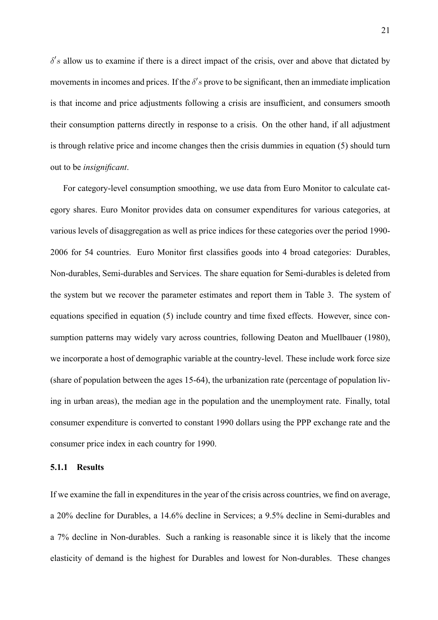$\delta$ 's allow us to examine if there is a direct impact of the crisis, over and above that dictated by movements in incomes and prices. If the  $\delta$ 's prove to be significant, then an immediate implication is that income and price adjustments following a crisis are insufficient, and consumers smooth their consumption patterns directly in response to a crisis. On the other hand, if all adjustment is through relative price and income changes then the crisis dummies in equation (5) should turn out to be insignificant.

For category-level consumption smoothing, we use data from Euro Monitor to calculate category shares. Euro Monitor provides data on consumer expenditures for various categories, at various levels of disaggregation as well as price indices for these categories over the period 1990- 2006 for 54 countries. Euro Monitor first classifies goods into 4 broad categories: Durables, Non-durables, Semi-durables and Services. The share equation for Semi-durables is deleted from the system but we recover the parameter estimates and report them in Table 3. The system of equations specified in equation (5) include country and time fixed effects. However, since consumption patterns may widely vary across countries, following Deaton and Muellbauer (1980), we incorporate a host of demographic variable at the country-level. These include work force size (share of population between the ages 15-64), the urbanization rate (percentage of population living in urban areas), the median age in the population and the unemployment rate. Finally, total consumer expenditure is converted to constant 1990 dollars using the PPP exchange rate and the consumer price index in each country for 1990.

#### 5.1.1 Results

If we examine the fall in expenditures in the year of the crisis across countries, we find on average, a 20% decline for Durables, a 14.6% decline in Services; a 9.5% decline in Semi-durables and a 7% decline in Non-durables. Such a ranking is reasonable since it is likely that the income elasticity of demand is the highest for Durables and lowest for Non-durables. These changes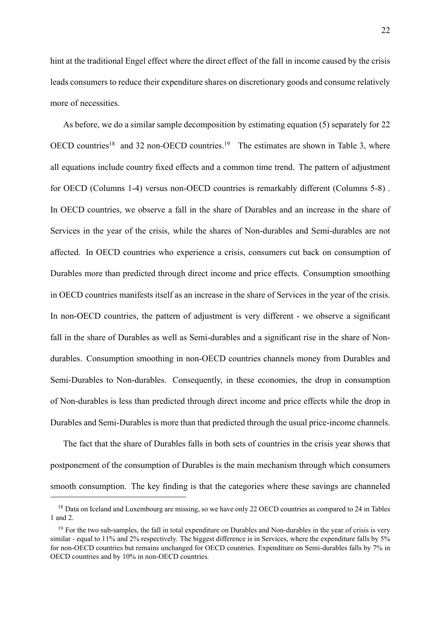hint at the traditional Engel effect where the direct effect of the fall in income caused by the crisis leads consumers to reduce their expenditure shares on discretionary goods and consume relatively more of necessities.

As before, we do a similar sample decomposition by estimating equation (5) separately for 22 OECD countries<sup>18</sup> and 32 non-OECD countries.<sup>19</sup> The estimates are shown in Table 3, where all equations include country fixed effects and a common time trend. The pattern of adjustment for OECD (Columns 1-4) versus non-OECD countries is remarkably different (Columns 5-8) . In OECD countries, we observe a fall in the share of Durables and an increase in the share of Services in the year of the crisis, while the shares of Non-durables and Semi-durables are not affected. In OECD countries who experience a crisis, consumers cut back on consumption of Durables more than predicted through direct income and price effects. Consumption smoothing in OECD countries manifests itself as an increase in the share of Services in the year of the crisis. In non-OECD countries, the pattern of adjustment is very different - we observe a significant fall in the share of Durables as well as Semi-durables and a significant rise in the share of Nondurables. Consumption smoothing in non-OECD countries channels money from Durables and Semi-Durables to Non-durables. Consequently, in these economies, the drop in consumption of Non-durables is less than predicted through direct income and price effects while the drop in Durables and Semi-Durables is more than that predicted through the usual price-income channels.

The fact that the share of Durables falls in both sets of countries in the crisis year shows that postponement of the consumption of Durables is the main mechanism through which consumers smooth consumption. The key finding is that the categories where these savings are channeled

<sup>&</sup>lt;sup>18</sup> Data on Iceland and Luxembourg are missing, so we have only 22 OECD countries as compared to 24 in Tables 1 and 2.

<sup>&</sup>lt;sup>19</sup> For the two sub-samples, the fall in total expenditure on Durables and Non-durables in the year of crisis is very similar - equal to 11% and 2% respectively. The biggest difference is in Services, where the expenditure falls by 5% for non-OECD countries but remains unchanged for OECD countries. Expenditure on Semi-durables falls by 7% in OECD countries and by 10% in non-OECD countries.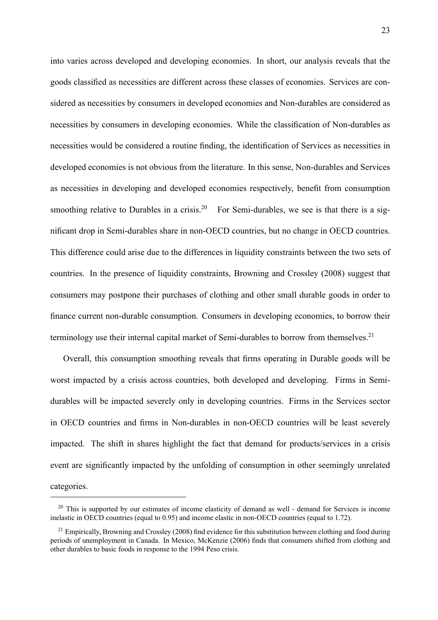into varies across developed and developing economies. In short, our analysis reveals that the goods classified as necessities are different across these classes of economies. Services are considered as necessities by consumers in developed economies and Non-durables are considered as necessities by consumers in developing economies. While the classification of Non-durables as necessities would be considered a routine finding, the identification of Services as necessities in developed economies is not obvious from the literature. In this sense, Non-durables and Services as necessities in developing and developed economies respectively, benefit from consumption smoothing relative to Durables in a crisis.<sup>20</sup> For Semi-durables, we see is that there is a significant drop in Semi-durables share in non-OECD countries, but no change in OECD countries. This difference could arise due to the differences in liquidity constraints between the two sets of countries. In the presence of liquidity constraints, Browning and Crossley (2008) suggest that consumers may postpone their purchases of clothing and other small durable goods in order to finance current non-durable consumption. Consumers in developing economies, to borrow their terminology use their internal capital market of Semi-durables to borrow from themselves.<sup>21</sup>

Overall, this consumption smoothing reveals that firms operating in Durable goods will be worst impacted by a crisis across countries, both developed and developing. Firms in Semidurables will be impacted severely only in developing countries. Firms in the Services sector in OECD countries and firms in Non-durables in non-OECD countries will be least severely impacted. The shift in shares highlight the fact that demand for products/services in a crisis event are significantly impacted by the unfolding of consumption in other seemingly unrelated categories.

<sup>&</sup>lt;sup>20</sup> This is supported by our estimates of income elasticity of demand as well - demand for Services is income inelastic in OECD countries (equal to 0.95) and income elastic in non-OECD countries (equal to 1.72).

 $^{21}$  Empirically, Browning and Crossley (2008) find evidence for this substitution between clothing and food during periods of unemployment in Canada. In Mexico, McKenzie (2006) finds that consumers shifted from clothing and other durables to basic foods in response to the 1994 Peso crisis.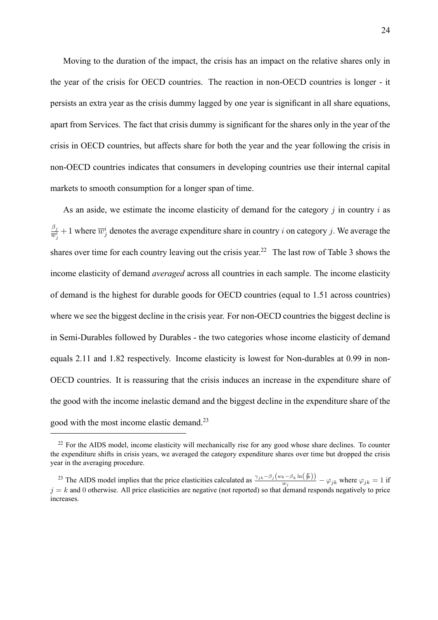Moving to the duration of the impact, the crisis has an impact on the relative shares only in the year of the crisis for OECD countries. The reaction in non-OECD countries is longer - it persists an extra year as the crisis dummy lagged by one year is significant in all share equations, apart from Services. The fact that crisis dummy is significant for the shares only in the year of the crisis in OECD countries, but affects share for both the year and the year following the crisis in non-OECD countries indicates that consumers in developing countries use their internal capital markets to smooth consumption for a longer span of time.

As an aside, we estimate the income elasticity of demand for the category  $j$  in country  $i$  as  $\beta_j$  $\frac{\beta_j}{\overline{w}_j^i}+1$  where  $\overline{w}_j^i$  denotes the average expenditure share in country i on category j. We average the shares over time for each country leaving out the crisis year.<sup>22</sup> The last row of Table 3 shows the income elasticity of demand *averaged* across all countries in each sample. The income elasticity of demand is the highest for durable goods for OECD countries (equal to 1.51 across countries) where we see the biggest decline in the crisis year. For non-OECD countries the biggest decline is in Semi-Durables followed by Durables - the two categories whose income elasticity of demand equals 2.11 and 1.82 respectively. Income elasticity is lowest for Non-durables at 0.99 in non-OECD countries. It is reassuring that the crisis induces an increase in the expenditure share of the good with the income inelastic demand and the biggest decline in the expenditure share of the good with the most income elastic demand.<sup>23</sup>

<sup>&</sup>lt;sup>22</sup> For the AIDS model, income elasticity will mechanically rise for any good whose share declines. To counter the expenditure shifts in crisis years, we averaged the category expenditure shares over time but dropped the crisis year in the averaging procedure.

<sup>&</sup>lt;sup>23</sup> The AIDS model implies that the price elasticities calculated as  $\frac{\gamma_{jk}-\beta_j(w_k-\beta_k\ln(\frac{E}{P}))}{w_k}$  $\frac{k-\beta_k \ln(\overline{p})j}{w_j} - \varphi_{jk}$  where  $\varphi_{jk} = 1$  if  $j = k$  and 0 otherwise. All price elasticities are negative (not reported) so that demand responds negatively to price increases.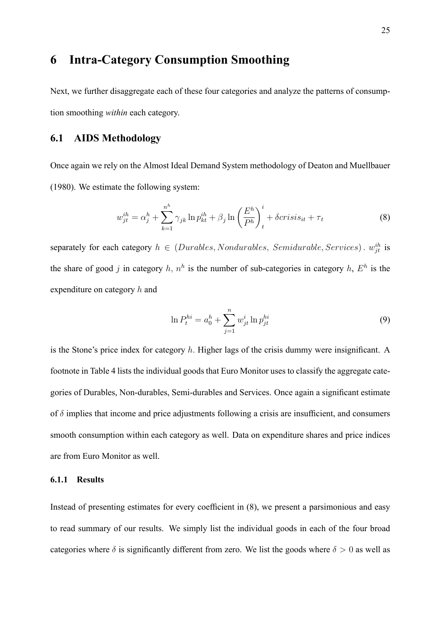## 6 Intra-Category Consumption Smoothing

Next, we further disaggregate each of these four categories and analyze the patterns of consumption smoothing within each category.

#### 6.1 AIDS Methodology

Once again we rely on the Almost Ideal Demand System methodology of Deaton and Muellbauer (1980). We estimate the following system:

$$
w_{jt}^{ih} = \alpha_j^h + \sum_{k=1}^{n^h} \gamma_{jk} \ln p_{kt}^{ih} + \beta_j \ln \left(\frac{E^h}{P^h}\right)_t^i + \delta crisis_{it} + \tau_t
$$
 (8)

separately for each category  $h \in (Durables, Nondurables, Semidurable, Services)$ .  $w_{jt}^{ih}$  is the share of good j in category h,  $n^h$  is the number of sub-categories in category h,  $E^h$  is the expenditure on category h and

$$
\ln P_t^{hi} = a_0^h + \sum_{j=1}^n w_{jt}^i \ln p_{jt}^{hi}
$$
\n(9)

is the Stone's price index for category  $h$ . Higher lags of the crisis dummy were insignificant. A footnote in Table 4 lists the individual goods that Euro Monitor uses to classify the aggregate categories of Durables, Non-durables, Semi-durables and Services. Once again a significant estimate of  $\delta$  implies that income and price adjustments following a crisis are insufficient, and consumers smooth consumption within each category as well. Data on expenditure shares and price indices are from Euro Monitor as well.

#### 6.1.1 Results

Instead of presenting estimates for every coefficient in  $(8)$ , we present a parsimonious and easy to read summary of our results. We simply list the individual goods in each of the four broad categories where  $\delta$  is significantly different from zero. We list the goods where  $\delta > 0$  as well as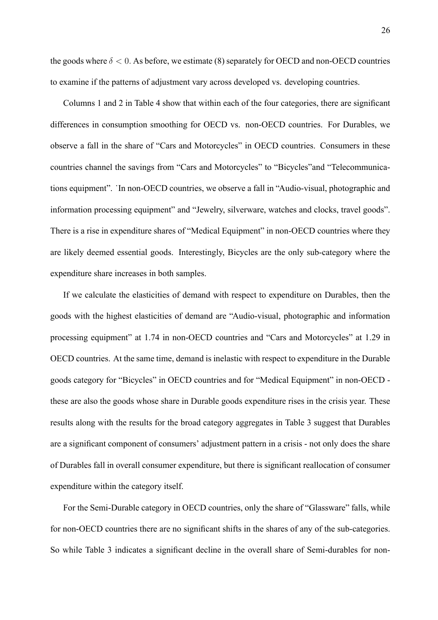the goods where  $\delta$  < 0. As before, we estimate (8) separately for OECD and non-OECD countries to examine if the patterns of adjustment vary across developed vs. developing countries.

Columns 1 and 2 in Table 4 show that within each of the four categories, there are significant differences in consumption smoothing for OECD vs. non-OECD countries. For Durables, we observe a fall in the share of "Cars and Motorcycles" in OECD countries. Consumers in these countries channel the savings from "Cars and Motorcycles" to "Bicycles" and "Telecommunications equipment". In non-OECD countries, we observe a fall in "Audio-visual, photographic and information processing equipment" and "Jewelry, silverware, watches and clocks, travel goods". There is a rise in expenditure shares of "Medical Equipment" in non-OECD countries where they are likely deemed essential goods. Interestingly, Bicycles are the only sub-category where the expenditure share increases in both samples.

If we calculate the elasticities of demand with respect to expenditure on Durables, then the goods with the highest elasticities of demand are "Audio-visual, photographic and information processing equipment" at 1.74 in non-OECD countries and "Cars and Motorcycles" at 1.29 in OECD countries. At the same time, demand is inelastic with respect to expenditure in the Durable goods category for "Bicycles" in OECD countries and for "Medical Equipment" in non-OECD these are also the goods whose share in Durable goods expenditure rises in the crisis year. These results along with the results for the broad category aggregates in Table 3 suggest that Durables are a significant component of consumers' adjustment pattern in a crisis - not only does the share of Durables fall in overall consumer expenditure, but there is significant reallocation of consumer expenditure within the category itself.

For the Semi-Durable category in OECD countries, only the share of "Glassware" falls, while for non-OECD countries there are no significant shifts in the shares of any of the sub-categories. So while Table 3 indicates a significant decline in the overall share of Semi-durables for non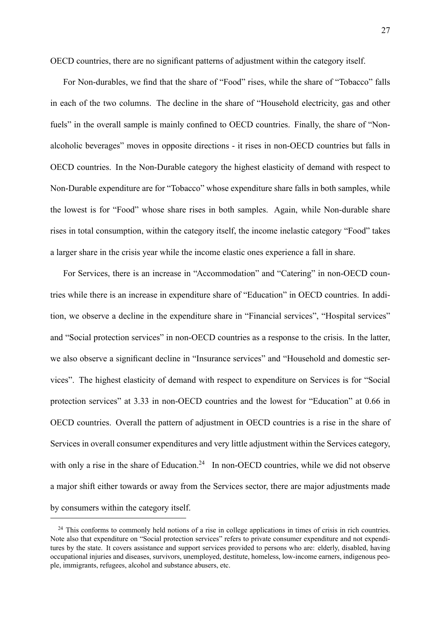OECD countries, there are no significant patterns of adjustment within the category itself.

For Non-durables, we find that the share of "Food" rises, while the share of "Tobacco" falls in each of the two columns. The decline in the share of "Household electricity, gas and other fuels" in the overall sample is mainly confined to OECD countries. Finally, the share of "Nonalcoholic beverages" moves in opposite directions - it rises in non-OECD countries but falls in OECD countries. In the Non-Durable category the highest elasticity of demand with respect to Non-Durable expenditure are for "Tobacco" whose expenditure share falls in both samples, while the lowest is for "Food" whose share rises in both samples. Again, while Non-durable share rises in total consumption, within the category itself, the income inelastic category "Food" takes a larger share in the crisis year while the income elastic ones experience a fall in share.

For Services, there is an increase in "Accommodation" and "Catering" in non-OECD countries while there is an increase in expenditure share of "Education" in OECD countries. In addition, we observe a decline in the expenditure share in "Financial services", "Hospital services" and "Social protection services" in non-OECD countries as a response to the crisis. In the latter, we also observe a significant decline in "Insurance services" and "Household and domestic services". The highest elasticity of demand with respect to expenditure on Services is for "Social protection services" at 3.33 in non-OECD countries and the lowest for "Education" at 0.66 in OECD countries. Overall the pattern of adjustment in OECD countries is a rise in the share of Services in overall consumer expenditures and very little adjustment within the Services category, with only a rise in the share of Education.<sup>24</sup> In non-OECD countries, while we did not observe a major shift either towards or away from the Services sector, there are major adjustments made by consumers within the category itself.

<sup>&</sup>lt;sup>24</sup> This conforms to commonly held notions of a rise in college applications in times of crisis in rich countries. Note also that expenditure on "Social protection services" refers to private consumer expenditure and not expenditures by the state. It covers assistance and support services provided to persons who are: elderly, disabled, having occupational injuries and diseases, survivors, unemployed, destitute, homeless, low-income earners, indigenous people, immigrants, refugees, alcohol and substance abusers, etc.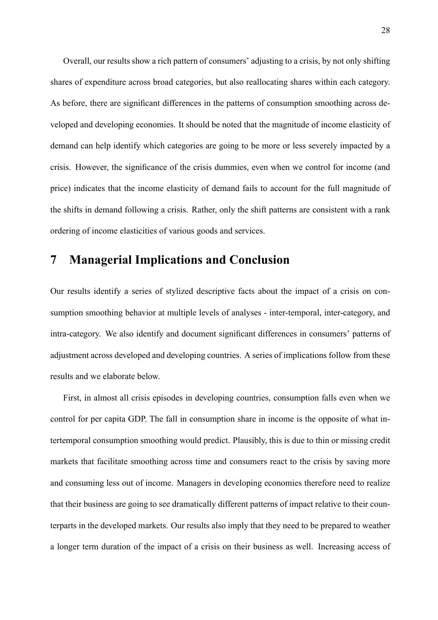Overall, our results show a rich pattern of consumers' adjusting to a crisis, by not only shifting shares of expenditure across broad categories, but also reallocating shares within each category. As before, there are significant differences in the patterns of consumption smoothing across developed and developing economies. It should be noted that the magnitude of income elasticity of demand can help identify which categories are going to be more or less severely impacted by a crisis. However, the significance of the crisis dummies, even when we control for income (and price) indicates that the income elasticity of demand fails to account for the full magnitude of the shifts in demand following a crisis. Rather, only the shift patterns are consistent with a rank ordering of income elasticities of various goods and services.

## 7 Managerial Implications and Conclusion

Our results identify a series of stylized descriptive facts about the impact of a crisis on consumption smoothing behavior at multiple levels of analyses - inter-temporal, inter-category, and intra-category. We also identify and document significant differences in consumers' patterns of adjustment across developed and developing countries. A series of implications follow from these results and we elaborate below.

First, in almost all crisis episodes in developing countries, consumption falls even when we control for per capita GDP. The fall in consumption share in income is the opposite of what intertemporal consumption smoothing would predict. Plausibly, this is due to thin or missing credit markets that facilitate smoothing across time and consumers react to the crisis by saving more and consuming less out of income. Managers in developing economies therefore need to realize that their business are going to see dramatically different patterns of impact relative to their counterparts in the developed markets. Our results also imply that they need to be prepared to weather a longer term duration of the impact of a crisis on their business as well. Increasing access of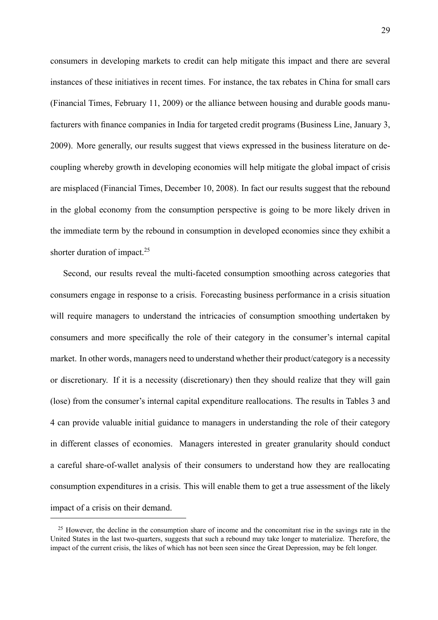consumers in developing markets to credit can help mitigate this impact and there are several instances of these initiatives in recent times. For instance, the tax rebates in China for small cars (Financial Times, February 11, 2009) or the alliance between housing and durable goods manufacturers with finance companies in India for targeted credit programs (Business Line, January 3, 2009). More generally, our results suggest that views expressed in the business literature on decoupling whereby growth in developing economies will help mitigate the global impact of crisis are misplaced (Financial Times, December 10, 2008). In fact our results suggest that the rebound in the global economy from the consumption perspective is going to be more likely driven in the immediate term by the rebound in consumption in developed economies since they exhibit a shorter duration of impact.<sup>25</sup>

Second, our results reveal the multi-faceted consumption smoothing across categories that consumers engage in response to a crisis. Forecasting business performance in a crisis situation will require managers to understand the intricacies of consumption smoothing undertaken by consumers and more specifically the role of their category in the consumer's internal capital market. In other words, managers need to understand whether their product/category is a necessity or discretionary. If it is a necessity (discretionary) then they should realize that they will gain (lose) from the consumer's internal capital expenditure reallocations. The results in Tables 3 and 4 can provide valuable initial guidance to managers in understanding the role of their category in different classes of economies. Managers interested in greater granularity should conduct a careful share-of-wallet analysis of their consumers to understand how they are reallocating consumption expenditures in a crisis. This will enable them to get a true assessment of the likely impact of a crisis on their demand.

<sup>&</sup>lt;sup>25</sup> However, the decline in the consumption share of income and the concomitant rise in the savings rate in the United States in the last two-quarters, suggests that such a rebound may take longer to materialize. Therefore, the impact of the current crisis, the likes of which has not been seen since the Great Depression, may be felt longer.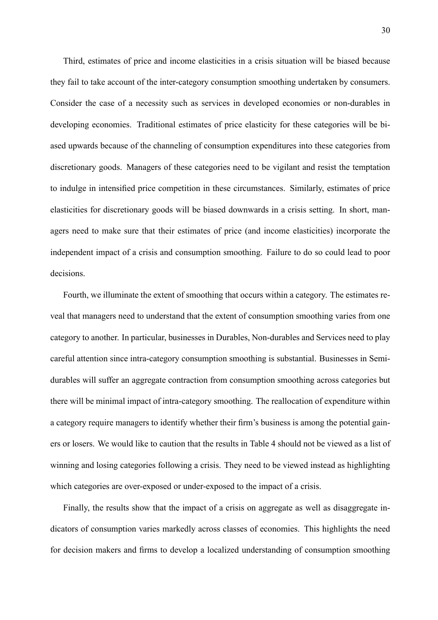Third, estimates of price and income elasticities in a crisis situation will be biased because they fail to take account of the inter-category consumption smoothing undertaken by consumers. Consider the case of a necessity such as services in developed economies or non-durables in developing economies. Traditional estimates of price elasticity for these categories will be biased upwards because of the channeling of consumption expenditures into these categories from discretionary goods. Managers of these categories need to be vigilant and resist the temptation to indulge in intensified price competition in these circumstances. Similarly, estimates of price elasticities for discretionary goods will be biased downwards in a crisis setting. In short, managers need to make sure that their estimates of price (and income elasticities) incorporate the independent impact of a crisis and consumption smoothing. Failure to do so could lead to poor decisions.

Fourth, we illuminate the extent of smoothing that occurs within a category. The estimates reveal that managers need to understand that the extent of consumption smoothing varies from one category to another. In particular, businesses in Durables, Non-durables and Services need to play careful attention since intra-category consumption smoothing is substantial. Businesses in Semidurables will suffer an aggregate contraction from consumption smoothing across categories but there will be minimal impact of intra-category smoothing. The reallocation of expenditure within a category require managers to identify whether their firm's business is among the potential gainers or losers. We would like to caution that the results in Table 4 should not be viewed as a list of winning and losing categories following a crisis. They need to be viewed instead as highlighting which categories are over-exposed or under-exposed to the impact of a crisis.

Finally, the results show that the impact of a crisis on aggregate as well as disaggregate indicators of consumption varies markedly across classes of economies. This highlights the need for decision makers and firms to develop a localized understanding of consumption smoothing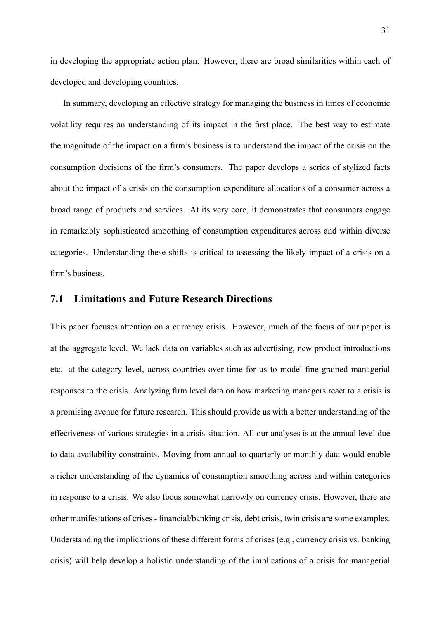in developing the appropriate action plan. However, there are broad similarities within each of developed and developing countries.

In summary, developing an effective strategy for managing the business in times of economic volatility requires an understanding of its impact in the first place. The best way to estimate the magnitude of the impact on a firm's business is to understand the impact of the crisis on the consumption decisions of the firm's consumers. The paper develops a series of stylized facts about the impact of a crisis on the consumption expenditure allocations of a consumer across a broad range of products and services. At its very core, it demonstrates that consumers engage in remarkably sophisticated smoothing of consumption expenditures across and within diverse categories. Understanding these shifts is critical to assessing the likely impact of a crisis on a firm's business.

#### 7.1 Limitations and Future Research Directions

This paper focuses attention on a currency crisis. However, much of the focus of our paper is at the aggregate level. We lack data on variables such as advertising, new product introductions etc. at the category level, across countries over time for us to model fine-grained managerial responses to the crisis. Analyzing firm level data on how marketing managers react to a crisis is a promising avenue for future research. This should provide us with a better understanding of the effectiveness of various strategies in a crisis situation. All our analyses is at the annual level due to data availability constraints. Moving from annual to quarterly or monthly data would enable a richer understanding of the dynamics of consumption smoothing across and within categories in response to a crisis. We also focus somewhat narrowly on currency crisis. However, there are other manifestations of crises - financial/banking crisis, debt crisis, twin crisis are some examples. Understanding the implications of these different forms of crises (e.g., currency crisis vs. banking crisis) will help develop a holistic understanding of the implications of a crisis for managerial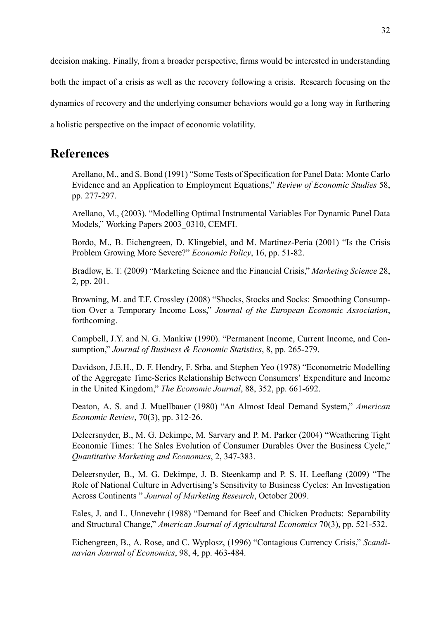decision making. Finally, from a broader perspective, firms would be interested in understanding both the impact of a crisis as well as the recovery following a crisis. Research focusing on the dynamics of recovery and the underlying consumer behaviors would go a long way in furthering a holistic perspective on the impact of economic volatility.

# References

Arellano, M., and S. Bond (1991) "Some Tests of Specification for Panel Data: Monte Carlo Evidence and an Application to Employment Equations," Review of Economic Studies 58, pp. 277-297.

Arellano, M., (2003). "Modelling Optimal Instrumental Variables For Dynamic Panel Data Models," Working Papers 2003 0310, CEMFI.

Bordo, M., B. Eichengreen, D. Klingebiel, and M. Martinez-Peria (2001) "Is the Crisis Problem Growing More Severe?" Economic Policy, 16, pp. 51-82.

Bradlow, E. T. (2009) "Marketing Science and the Financial Crisis," Marketing Science 28, 2, pp. 201.

Browning, M. and T.F. Crossley (2008) "Shocks, Stocks and Socks: Smoothing Consumption Over a Temporary Income Loss," Journal of the European Economic Association, forthcoming.

Campbell, J.Y. and N. G. Mankiw (1990). "Permanent Income, Current Income, and Consumption," Journal of Business & Economic Statistics, 8, pp. 265-279.

Davidson, J.E.H., D. F. Hendry, F. Srba, and Stephen Yeo (1978) "Econometric Modelling of the Aggregate Time-Series Relationship Between Consumers' Expenditure and Income in the United Kingdom," The Economic Journal, 88, 352, pp. 661-692.

Deaton, A. S. and J. Muellbauer (1980) "An Almost Ideal Demand System," American Economic Review, 70(3), pp. 312-26.

Deleersnyder, B., M. G. Dekimpe, M. Sarvary and P. M. Parker (2004) "Weathering Tight Economic Times: The Sales Evolution of Consumer Durables Over the Business Cycle," Quantitative Marketing and Economics, 2, 347-383.

Deleersnyder, B., M. G. Dekimpe, J. B. Steenkamp and P. S. H. Leeflang (2009) "The Role of National Culture in Advertising's Sensitivity to Business Cycles: An Investigation Across Continents " Journal of Marketing Research, October 2009.

Eales, J. and L. Unnevehr (1988) "Demand for Beef and Chicken Products: Separability and Structural Change," American Journal of Agricultural Economics 70(3), pp. 521-532.

Eichengreen, B., A. Rose, and C. Wyplosz, (1996) "Contagious Currency Crisis," Scandinavian Journal of Economics, 98, 4, pp. 463-484.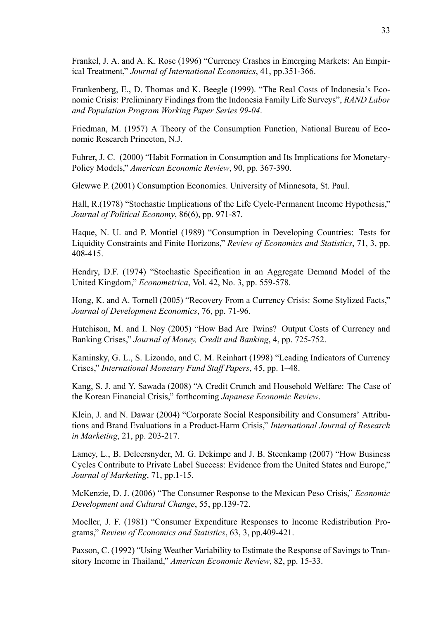Frankel, J. A. and A. K. Rose (1996) "Currency Crashes in Emerging Markets: An Empirical Treatment," Journal of International Economics, 41, pp.351-366.

Frankenberg, E., D. Thomas and K. Beegle (1999). "The Real Costs of Indonesia's Economic Crisis: Preliminary Findings from the Indonesia Family Life Surveys", RAND Labor and Population Program Working Paper Series 99-04.

Friedman, M. (1957) A Theory of the Consumption Function, National Bureau of Economic Research Princeton, N.J.

Fuhrer, J. C. (2000) "Habit Formation in Consumption and Its Implications for Monetary-Policy Models," American Economic Review, 90, pp. 367-390.

Glewwe P. (2001) Consumption Economics. University of Minnesota, St. Paul.

Hall, R.(1978) "Stochastic Implications of the Life Cycle-Permanent Income Hypothesis," Journal of Political Economy, 86(6), pp. 971-87.

Haque, N. U. and P. Montiel (1989) "Consumption in Developing Countries: Tests for Liquidity Constraints and Finite Horizons," Review of Economics and Statistics, 71, 3, pp. 408-415.

Hendry, D.F. (1974) "Stochastic Specification in an Aggregate Demand Model of the United Kingdom," *Econometrica*, Vol. 42, No. 3, pp. 559-578.

Hong, K. and A. Tornell (2005) "Recovery From a Currency Crisis: Some Stylized Facts," Journal of Development Economics, 76, pp. 71-96.

Hutchison, M. and I. Nov (2005) "How Bad Are Twins? Output Costs of Currency and Banking Crises," Journal of Money, Credit and Banking, 4, pp. 725-752.

Kaminsky, G. L., S. Lizondo, and C. M. Reinhart (1998) "Leading Indicators of Currency Crises," International Monetary Fund Staff Papers, 45, pp. 1-48.

Kang, S. J. and Y. Sawada (2008) "A Credit Crunch and Household Welfare: The Case of the Korean Financial Crisis," forthcoming Japanese Economic Review.

Klein, J. and N. Dawar (2004) "Corporate Social Responsibility and Consumers' Attributions and Brand Evaluations in a Product-Harm Crisis," International Journal of Research in Marketing, 21, pp. 203-217.

Lamey, L., B. Deleersnyder, M. G. Dekimpe and J. B. Steenkamp (2007) "How Business Cycles Contribute to Private Label Success: Evidence from the United States and Europe," Journal of Marketing, 71, pp.1-15.

McKenzie, D. J. (2006) "The Consumer Response to the Mexican Peso Crisis," Economic Development and Cultural Change, 55, pp.139-72.

Moeller, J. F. (1981) "Consumer Expenditure Responses to Income Redistribution Programs," Review of Economics and Statistics, 63, 3, pp.409-421.

Paxson, C. (1992) "Using Weather Variability to Estimate the Response of Savings to Transitory Income in Thailand," American Economic Review, 82, pp. 15-33.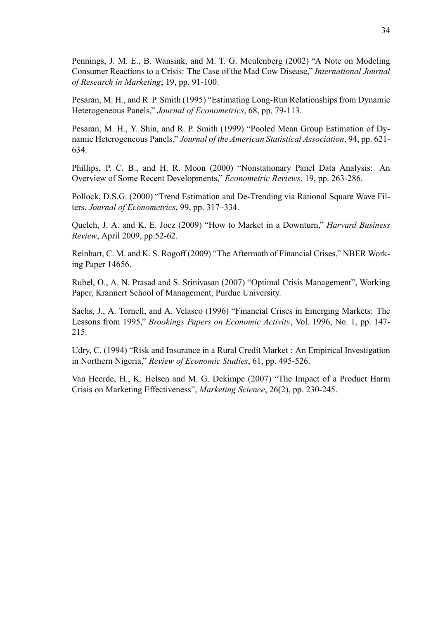Pennings, J. M. E., B. Wansink, and M. T. G. Meulenberg (2002) "A Note on Modeling Consumer Reactions to a Crisis: The Case of the Mad Cow Disease," International Journal of Research in Marketing; 19, pp. 91-100.

Pesaran, M. H., and R. P. Smith (1995) "Estimating Long-Run Relationships from Dynamic Heterogeneous Panels," Journal of Econometrics, 68, pp. 79-113.

Pesaran, M. H., Y. Shin, and R. P. Smith (1999) "Pooled Mean Group Estimation of Dynamic Heterogeneous Panels," Journal of the American Statistical Association, 94, pp. 621-634.

Phillips, P. C. B., and H. R. Moon (2000) "Nonstationary Panel Data Analysis: An Overview of Some Recent Developments," *Econometric Reviews*, 19, pp. 263-286.

Pollock, D.S.G. (2000) "Trend Estimation and De-Trending via Rational Square Wave Filters, Journal of Econometrics,  $99$ , pp.  $317-334$ .

Quelch, J. A. and K. E. Jocz (2009) "How to Market in a Downturn," *Harvard Business* Review, April 2009, pp.52-62.

Reinhart, C. M. and K. S. Rogoff (2009) "The Aftermath of Financial Crises," NBER Working Paper 14656.

Rubel, O., A. N. Prasad and S. Srinivasan (2007) "Optimal Crisis Management", Working Paper, Krannert School of Management, Purdue University.

Sachs, J., A. Tornell, and A. Velasco (1996) "Financial Crises in Emerging Markets: The Lessons from 1995," Brookings Papers on Economic Activity, Vol. 1996, No. 1, pp. 147-215.

Udry, C. (1994) "Risk and Insurance in a Rural Credit Market : An Empirical Investigation in Northern Nigeria," Review of Economic Studies, 61, pp. 495-526.

Van Heerde, H., K. Helsen and M. G. Dekimpe (2007) "The Impact of a Product Harm Crisis on Marketing Effectiveness", Marketing Science, 26(2), pp. 230-245.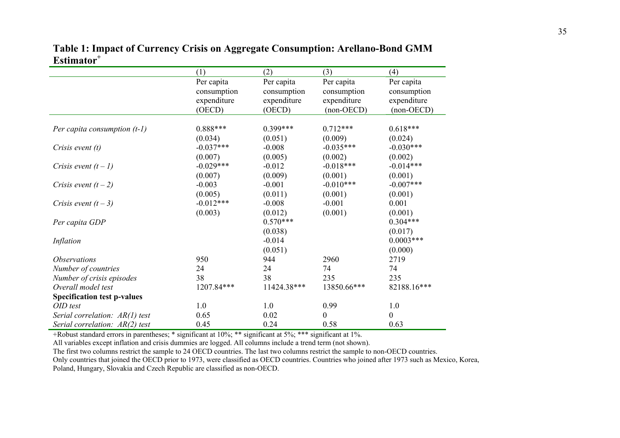|                                    | (1)         | (2)         | (3)              | (4)              |
|------------------------------------|-------------|-------------|------------------|------------------|
|                                    | Per capita  | Per capita  | Per capita       | Per capita       |
|                                    | consumption | consumption | consumption      | consumption      |
|                                    | expenditure | expenditure | expenditure      | expenditure      |
|                                    | (OECD)      | (OECD)      | $(non-OECD)$     | $(non-OECD)$     |
|                                    |             |             |                  |                  |
| Per capita consumption $(t-1)$     | $0.888***$  | $0.399***$  | $0.712***$       | $0.618***$       |
|                                    | (0.034)     | (0.051)     | (0.009)          | (0.024)          |
| Crisis event $(t)$                 | $-0.037***$ | $-0.008$    | $-0.035***$      | $-0.030***$      |
|                                    | (0.007)     | (0.005)     | (0.002)          | (0.002)          |
| Crisis event $(t-1)$               | $-0.029***$ | $-0.012$    | $-0.018***$      | $-0.014***$      |
|                                    | (0.007)     | (0.009)     | (0.001)          | (0.001)          |
| Crisis event $(t-2)$               | $-0.003$    | $-0.001$    | $-0.010***$      | $-0.007***$      |
|                                    | (0.005)     | (0.011)     | (0.001)          | (0.001)          |
| Crisis event $(t-3)$               | $-0.012***$ | $-0.008$    | $-0.001$         | 0.001            |
|                                    | (0.003)     | (0.012)     | (0.001)          | (0.001)          |
| Per capita GDP                     |             | $0.570***$  |                  | $0.304***$       |
|                                    |             | (0.038)     |                  | (0.017)          |
| Inflation                          |             | $-0.014$    |                  | $0.0003***$      |
|                                    |             | (0.051)     |                  | (0.000)          |
| <i><b>Observations</b></i>         | 950         | 944         | 2960             | 2719             |
| Number of countries                | 24          | 24          | 74               | 74               |
| Number of crisis episodes          | 38          | 38          | 235              | 235              |
| Overall model test                 | 1207.84***  | 11424.38*** | 13850.66***      | 82188.16***      |
| <b>Specification test p-values</b> |             |             |                  |                  |
| OID test                           | 1.0         | 1.0         | 0.99             | 1.0              |
| Serial correlation: AR(1) test     | 0.65        | 0.02        | $\boldsymbol{0}$ | $\boldsymbol{0}$ |
| Serial correlation: $AR(2)$ test   | 0.45        | 0.24        | 0.58             | 0.63             |

**Table 1: Impact of Currency Crisis on Aggregate Consumption: Arellano-Bond GMM Estimator<sup>+</sup>**

+Robust standard errors in parentheses; \* significant at 10%; \*\* significant at 5%; \*\*\* significant at 1%.

All variables except inflation and crisis dummies are logged. All columns include a trend term (not shown).

The first two columns restrict the sample to 24 OECD countries. The last two columns restrict the sample to non-OECD countries.

Only countries that joined the OECD prior to 1973, were classified as OECD countries. Countries who joined after 1973 such as Mexico, Korea, Poland, Hungary, Slovakia and Czech Republic are classified as non-OECD.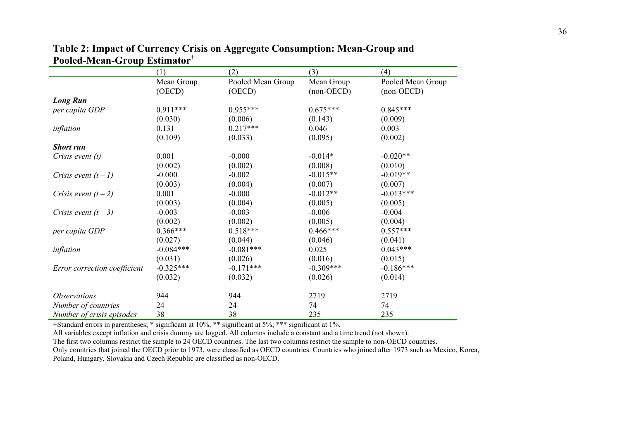|                              | (1)         | (2)               | (3)          | (4)               |
|------------------------------|-------------|-------------------|--------------|-------------------|
|                              | Mean Group  | Pooled Mean Group | Mean Group   | Pooled Mean Group |
|                              | (OECD)      | (OECD)            | $(non-OECD)$ | $(non-OECD)$      |
| <b>Long Run</b>              |             |                   |              |                   |
| per capita GDP               | $0.911***$  | $0.955***$        | $0.675***$   | $0.845***$        |
|                              | (0.030)     | (0.006)           | (0.143)      | (0.009)           |
| inflation                    | 0.131       | $0.217***$        | 0.046        | 0.003             |
|                              | (0.109)     | (0.033)           | (0.095)      | (0.002)           |
| <b>Short run</b>             |             |                   |              |                   |
| Crisis event $(t)$           | 0.001       | $-0.000$          | $-0.014*$    | $-0.020**$        |
|                              | (0.002)     | (0.002)           | (0.008)      | (0.010)           |
| Crisis event $(t-1)$         | $-0.000$    | $-0.002$          | $-0.015**$   | $-0.019**$        |
|                              | (0.003)     | (0.004)           | (0.007)      | (0.007)           |
| Crisis event $(t-2)$         | 0.001       | $-0.000$          | $-0.012**$   | $-0.013***$       |
|                              | (0.003)     | (0.004)           | (0.005)      | (0.005)           |
| Crisis event $(t-3)$         | $-0.003$    | $-0.003$          | $-0.006$     | $-0.004$          |
|                              | (0.002)     | (0.002)           | (0.005)      | (0.004)           |
| per capita GDP               | $0.366***$  | $0.518***$        | $0.466***$   | $0.557***$        |
|                              | (0.027)     | (0.044)           | (0.046)      | (0.041)           |
| inflation                    | $-0.084***$ | $-0.081***$       | 0.025        | $0.043***$        |
|                              | (0.031)     | (0.026)           | (0.016)      | (0.015)           |
| Error correction coefficient | $-0.325***$ | $-0.171***$       | $-0.309***$  | $-0.186***$       |
|                              | (0.032)     | (0.032)           | (0.026)      | (0.014)           |
| <i><b>Observations</b></i>   | 944         | 944               | 2719         | 2719              |
| Number of countries          | 24          | 24                | 74           | 74                |
| Number of crisis episodes    | 38          | 38                | 235          | 235               |

**Table 2: Impact of Currency Crisis on Aggregate Consumption: Mean-Group and Pooled-Mean-Group Estimator<sup>+</sup>**

+Standard errors in parentheses; \* significant at 10%; \*\* significant at 5%; \*\*\* significant at 1%.

All variables except inflation and crisis dummy are logged. All columns include a constant and a time trend (not shown).

The first two columns restrict the sample to 24 OECD countries. The last two columns restrict the sample to non-OECD countries.

Only countries that joined the OECD prior to 1973, were classified as OECD countries. Countries who joined after 1973 such as Mexico, Korea, Poland, Hungary, Slovakia and Czech Republic are classified as non-OECD.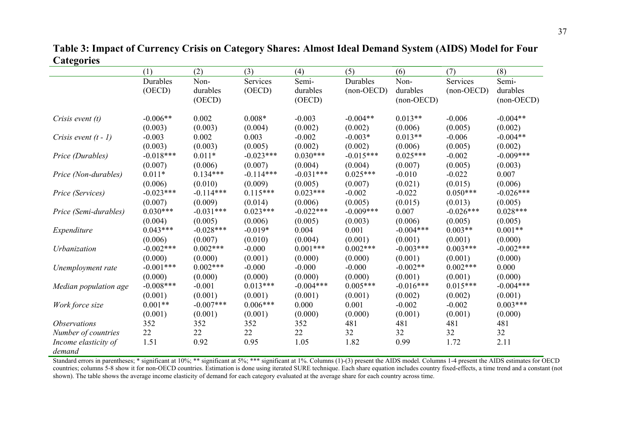**Table 3: Impact of Currency Crisis on Category Shares: Almost Ideal Demand System (AIDS) Model for Four Categories** 

|                            | (1)         | (2)         | (3)         | (4)         | (5)          | (6)          | (7)          | (8)          |
|----------------------------|-------------|-------------|-------------|-------------|--------------|--------------|--------------|--------------|
|                            | Durables    | Non-        | Services    | Semi-       | Durables     | Non-         | Services     | Semi-        |
|                            | (OECD)      | durables    | (OECD)      | durables    | $(non-OECD)$ | durables     | $(non-OECD)$ | durables     |
|                            |             | (OECD)      |             | (OECD)      |              | $(non-OECD)$ |              | $(non-OECD)$ |
|                            |             |             |             |             |              |              |              |              |
| Crisis event $(t)$         | $-0.006**$  | 0.002       | $0.008*$    | $-0.003$    | $-0.004**$   | $0.013**$    | $-0.006$     | $-0.004**$   |
|                            | (0.003)     | (0.003)     | (0.004)     | (0.002)     | (0.002)      | (0.006)      | (0.005)      | (0.002)      |
| Crisis event $(t - 1)$     | $-0.003$    | 0.002       | 0.003       | $-0.002$    | $-0.003*$    | $0.013**$    | $-0.006$     | $-0.004**$   |
|                            | (0.003)     | (0.003)     | (0.005)     | (0.002)     | (0.002)      | (0.006)      | (0.005)      | (0.002)      |
| Price (Durables)           | $-0.018***$ | $0.011*$    | $-0.023***$ | $0.030***$  | $-0.015***$  | $0.025***$   | $-0.002$     | $-0.009***$  |
|                            | (0.007)     | (0.006)     | (0.007)     | (0.004)     | (0.004)      | (0.007)      | (0.005)      | (0.003)      |
| Price (Non-durables)       | $0.011*$    | $0.134***$  | $-0.114***$ | $-0.031***$ | $0.025***$   | $-0.010$     | $-0.022$     | 0.007        |
|                            | (0.006)     | (0.010)     | (0.009)     | (0.005)     | (0.007)      | (0.021)      | (0.015)      | (0.006)      |
| Price (Services)           | $-0.023***$ | $-0.114***$ | $0.115***$  | $0.023***$  | $-0.002$     | $-0.022$     | $0.050***$   | $-0.026***$  |
|                            | (0.007)     | (0.009)     | (0.014)     | (0.006)     | (0.005)      | (0.015)      | (0.013)      | (0.005)      |
| Price (Semi-durables)      | $0.030***$  | $-0.031***$ | $0.023***$  | $-0.022***$ | $-0.009***$  | 0.007        | $-0.026***$  | $0.028***$   |
|                            | (0.004)     | (0.005)     | (0.006)     | (0.005)     | (0.003)      | (0.006)      | (0.005)      | (0.005)      |
| Expenditure                | $0.043***$  | $-0.028***$ | $-0.019*$   | 0.004       | 0.001        | $-0.004***$  | $0.003**$    | $0.001**$    |
|                            | (0.006)     | (0.007)     | (0.010)     | (0.004)     | (0.001)      | (0.001)      | (0.001)      | (0.000)      |
| Urbanization               | $-0.002***$ | $0.002***$  | $-0.000$    | $0.001***$  | $0.002***$   | $-0.003***$  | $0.003***$   | $-0.002***$  |
|                            | (0.000)     | (0.000)     | (0.001)     | (0.000)     | (0.000)      | (0.001)      | (0.001)      | (0.000)      |
| Unemployment rate          | $-0.001***$ | $0.002***$  | $-0.000$    | $-0.000$    | $-0.000$     | $-0.002**$   | $0.002***$   | 0.000        |
|                            | (0.000)     | (0.000)     | (0.000)     | (0.000)     | (0.000)      | (0.001)      | (0.001)      | (0.000)      |
| Median population age      | $-0.008***$ | $-0.001$    | $0.013***$  | $-0.004***$ | $0.005***$   | $-0.016***$  | $0.015***$   | $-0.004***$  |
|                            | (0.001)     | (0.001)     | (0.001)     | (0.001)     | (0.001)      | (0.002)      | (0.002)      | (0.001)      |
| Work force size            | $0.001**$   | $-0.007***$ | $0.006***$  | 0.000       | 0.001        | $-0.002$     | $-0.002$     | $0.003***$   |
|                            | (0.001)     | (0.001)     | (0.001)     | (0.000)     | (0.000)      | (0.001)      | (0.001)      | (0.000)      |
| <i><b>Observations</b></i> | 352         | 352         | 352         | 352         | 481          | 481          | 481          | 481          |
| Number of countries        | 22          | 22          | 22          | 22          | 32           | 32           | 32           | 32           |
| Income elasticity of       | 1.51        | 0.92        | 0.95        | 1.05        | 1.82         | 0.99         | 1.72         | 2.11         |
| demand                     |             |             |             |             |              |              |              |              |

Standard errors in parentheses; \* significant at 10%; \*\*\* significant at 5%; \*\*\* significant at 1%. Columns (1)-(3) present the AIDS model. Columns 1-4 present the AIDS estimates for OECD countries; columns 5-8 show it for non-OECD countries. Estimation is done using iterated SURE technique. Each share equation includes country fixed-effects, a time trend and a constant (not shown). The table shows the average income elasticity of demand for each category evaluated at the average share for each country across time.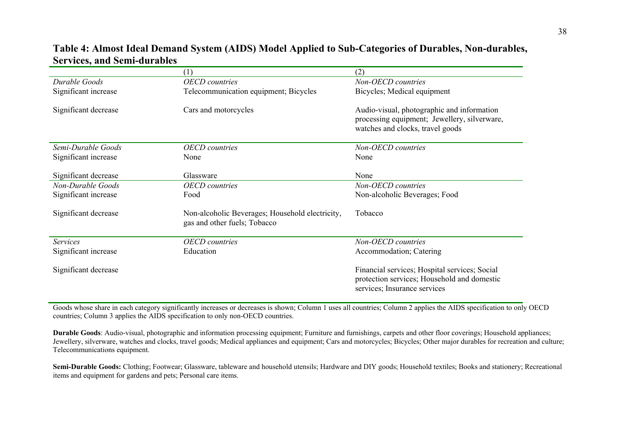## **Table 4: Almost Ideal Demand System (AIDS) Model Applied to Sub-Categories of Durables, Non-durables, Services, and Semi-durables**

|                      | (1)                                                                             | (2)                                                                                                                            |
|----------------------|---------------------------------------------------------------------------------|--------------------------------------------------------------------------------------------------------------------------------|
| Durable Goods        | <b>OECD</b> countries                                                           | Non-OECD countries                                                                                                             |
| Significant increase | Telecommunication equipment; Bicycles                                           | Bicycles; Medical equipment                                                                                                    |
| Significant decrease | Cars and motorcycles                                                            | Audio-visual, photographic and information<br>processing equipment; Jewellery, silverware,<br>watches and clocks, travel goods |
| Semi-Durable Goods   | <b>OECD</b> countries                                                           | Non-OECD countries                                                                                                             |
| Significant increase | None                                                                            | None                                                                                                                           |
|                      |                                                                                 |                                                                                                                                |
| Significant decrease | Glassware                                                                       | None                                                                                                                           |
| Non-Durable Goods    | <b>OECD</b> countries                                                           | Non-OECD countries                                                                                                             |
| Significant increase | Food                                                                            | Non-alcoholic Beverages; Food                                                                                                  |
| Significant decrease | Non-alcoholic Beverages; Household electricity,<br>gas and other fuels; Tobacco | Tobacco                                                                                                                        |
| <b>Services</b>      | <b>OECD</b> countries                                                           | Non-OECD countries                                                                                                             |
| Significant increase | Education                                                                       | Accommodation; Catering                                                                                                        |
| Significant decrease |                                                                                 | Financial services; Hospital services; Social<br>protection services; Household and domestic<br>services; Insurance services   |

Goods whose share in each category significantly increases or decreases is shown; Column 1 uses all countries; Column 2 applies the AIDS specification to only OECD countries; Column 3 applies the AIDS specification to only non-OECD countries.

**Durable Goods**: Audio-visual, photographic and information processing equipment; Furniture and furnishings, carpets and other floor coverings; Household appliances; Jewellery, silverware, watches and clocks, travel goods; Medical appliances and equipment; Cars and motorcycles; Bicycles; Other major durables for recreation and culture; Telecommunications equipment.

**Semi-Durable Goods:** Clothing; Footwear; Glassware, tableware and household utensils; Hardware and DIY goods; Household textiles; Books and stationery; Recreational items and equipment for gardens and pets; Personal care items.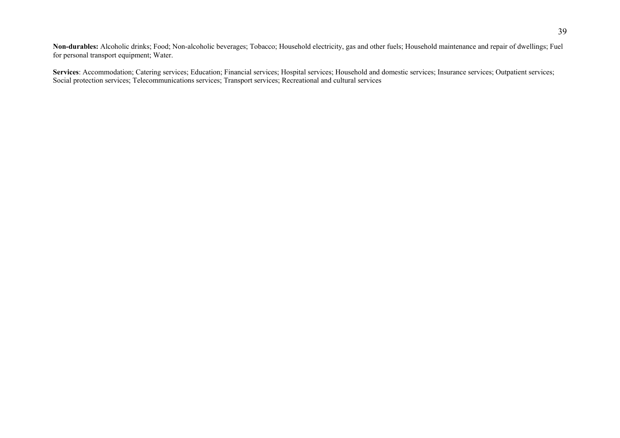**Non-durables:** Alcoholic drinks; Food; Non-alcoholic beverages; Tobacco; Household electricity, gas and other fuels; Household maintenance and repair of dwellings; Fuel for personal transport equipment; Water.

**Services**: Accommodation; Catering services; Education; Financial services; Hospital services; Household and domestic services; Insurance services; Outpatient services; Social protection services; Telecommunications services; Transport services; Recreational and cultural services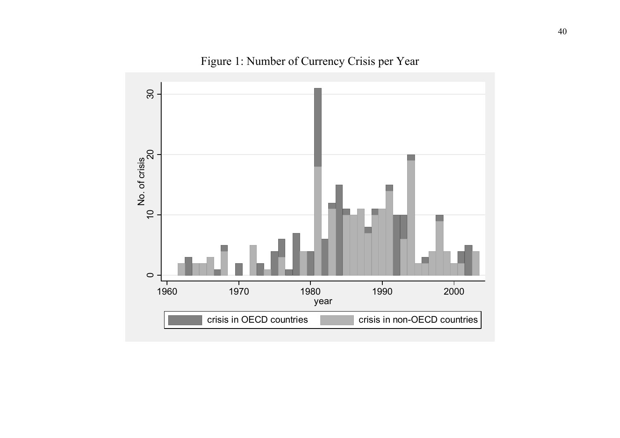

Figure 1: Number of Currency Crisis per Year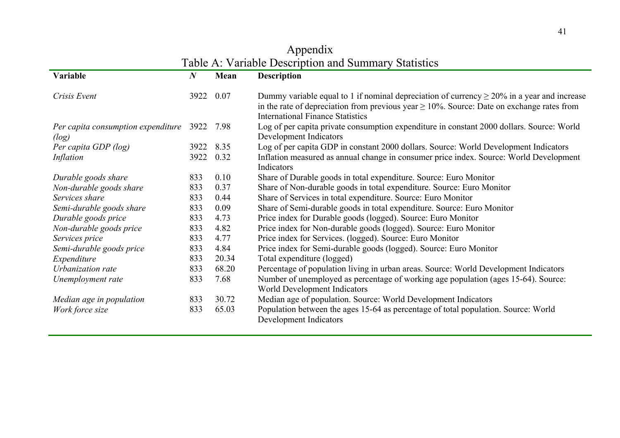## Appendix Table A: Variable Description and Summary Statistics

| Variable                                         | $\boldsymbol{N}$ | Mean  | <b>Description</b>                                                                                                                                                                                                                             |
|--------------------------------------------------|------------------|-------|------------------------------------------------------------------------------------------------------------------------------------------------------------------------------------------------------------------------------------------------|
| Crisis Event                                     | 3922             | 0.07  | Dummy variable equal to 1 if nominal depreciation of currency $\geq$ 20% in a year and increase<br>in the rate of depreciation from previous year $\geq 10\%$ . Source: Date on exchange rates from<br><b>International Finance Statistics</b> |
| Per capita consumption expenditure 3922<br>(log) |                  | 7.98  | Log of per capita private consumption expenditure in constant 2000 dollars. Source: World<br>Development Indicators                                                                                                                            |
| Per capita GDP (log)                             | 3922             | 8.35  | Log of per capita GDP in constant 2000 dollars. Source: World Development Indicators                                                                                                                                                           |
| Inflation                                        | 3922             | 0.32  | Inflation measured as annual change in consumer price index. Source: World Development<br>Indicators                                                                                                                                           |
| Durable goods share                              | 833              | 0.10  | Share of Durable goods in total expenditure. Source: Euro Monitor                                                                                                                                                                              |
| Non-durable goods share                          | 833              | 0.37  | Share of Non-durable goods in total expenditure. Source: Euro Monitor                                                                                                                                                                          |
| Services share                                   | 833              | 0.44  | Share of Services in total expenditure. Source: Euro Monitor                                                                                                                                                                                   |
| Semi-durable goods share                         | 833              | 0.09  | Share of Semi-durable goods in total expenditure. Source: Euro Monitor                                                                                                                                                                         |
| Durable goods price                              | 833              | 4.73  | Price index for Durable goods (logged). Source: Euro Monitor                                                                                                                                                                                   |
| Non-durable goods price                          | 833              | 4.82  | Price index for Non-durable goods (logged). Source: Euro Monitor                                                                                                                                                                               |
| Services price                                   | 833              | 4.77  | Price index for Services. (logged). Source: Euro Monitor                                                                                                                                                                                       |
| Semi-durable goods price                         | 833              | 4.84  | Price index for Semi-durable goods (logged). Source: Euro Monitor                                                                                                                                                                              |
| Expenditure                                      | 833              | 20.34 | Total expenditure (logged)                                                                                                                                                                                                                     |
| Urbanization rate                                | 833              | 68.20 | Percentage of population living in urban areas. Source: World Development Indicators                                                                                                                                                           |
| Unemployment rate                                | 833              | 7.68  | Number of unemployed as percentage of working age population (ages 15-64). Source:<br>World Development Indicators                                                                                                                             |
| Median age in population                         | 833              | 30.72 | Median age of population. Source: World Development Indicators                                                                                                                                                                                 |
| Work force size                                  | 833              | 65.03 | Population between the ages 15-64 as percentage of total population. Source: World<br>Development Indicators                                                                                                                                   |